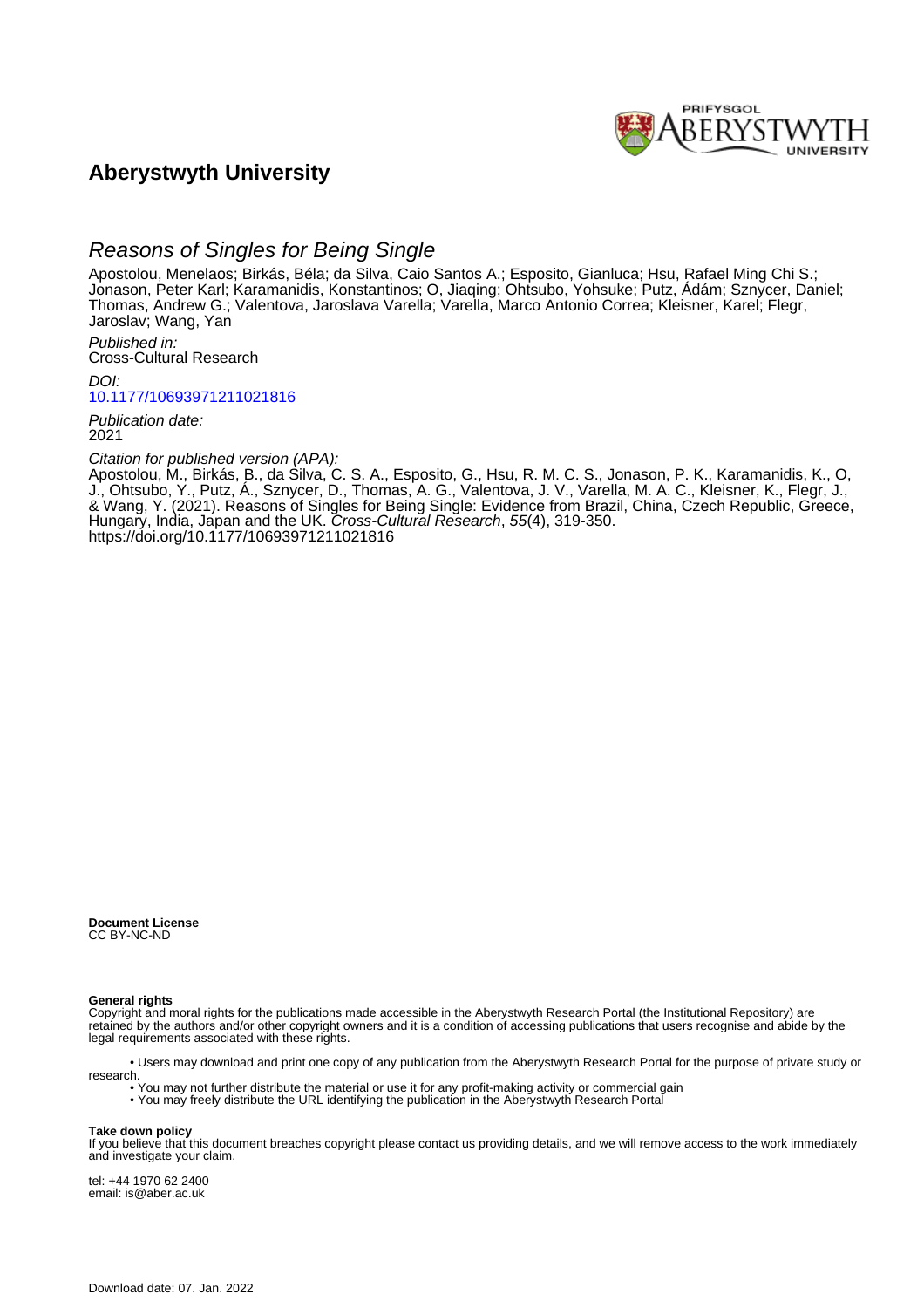

# **Aberystwyth University**

# Reasons of Singles for Being Single

Apostolou, Menelaos; Birkás, Béla; da Silva, Caio Santos A.; Esposito, Gianluca; Hsu, Rafael Ming Chi S.; Jonason, Peter Karl; Karamanidis, Konstantinos; O, Jiaqing; Ohtsubo, Yohsuke; Putz, Ádám; Sznycer, Daniel; Thomas, Andrew G.; Valentova, Jaroslava Varella; Varella, Marco Antonio Correa; Kleisner, Karel; Flegr, Jaroslav; Wang, Yan

Published in: Cross-Cultural Research

DOI: [10.1177/10693971211021816](https://doi.org/10.1177/10693971211021816)

Publication date: 2021

Citation for published version (APA):

Apostolou, M., Birkás, B., da Silva, C. S. A., Esposito, G., Hsu, R. M. C. S., Jonason, P. K., Karamanidis, K., O, J., Ohtsubo, Y., Putz, Á., Sznycer, D., Thomas, A. G., Valentova, J. V., Varella, M. A. C., Kleisner, K., Flegr, J., & Wang, Y. (2021). Reasons of Singles for Being Single: Evidence from Brazil, China, Czech Republic, Greece, Hungary, India, Japan and the UK. Cross-Cultural Research, 55(4), 319-350. <https://doi.org/10.1177/10693971211021816>

**Document License** CC BY-NC-ND

**General rights**

Copyright and moral rights for the publications made accessible in the Aberystwyth Research Portal (the Institutional Repository) are retained by the authors and/or other copyright owners and it is a condition of accessing publications that users recognise and abide by the legal requirements associated with these rights.

 • Users may download and print one copy of any publication from the Aberystwyth Research Portal for the purpose of private study or research.

- You may not further distribute the material or use it for any profit-making activity or commercial gain
- You may freely distribute the URL identifying the publication in the Aberystwyth Research Portal

#### **Take down policy**

If you believe that this document breaches copyright please contact us providing details, and we will remove access to the work immediately and investigate your claim.

tel: +44 1970 62 2400 email: is@aber.ac.uk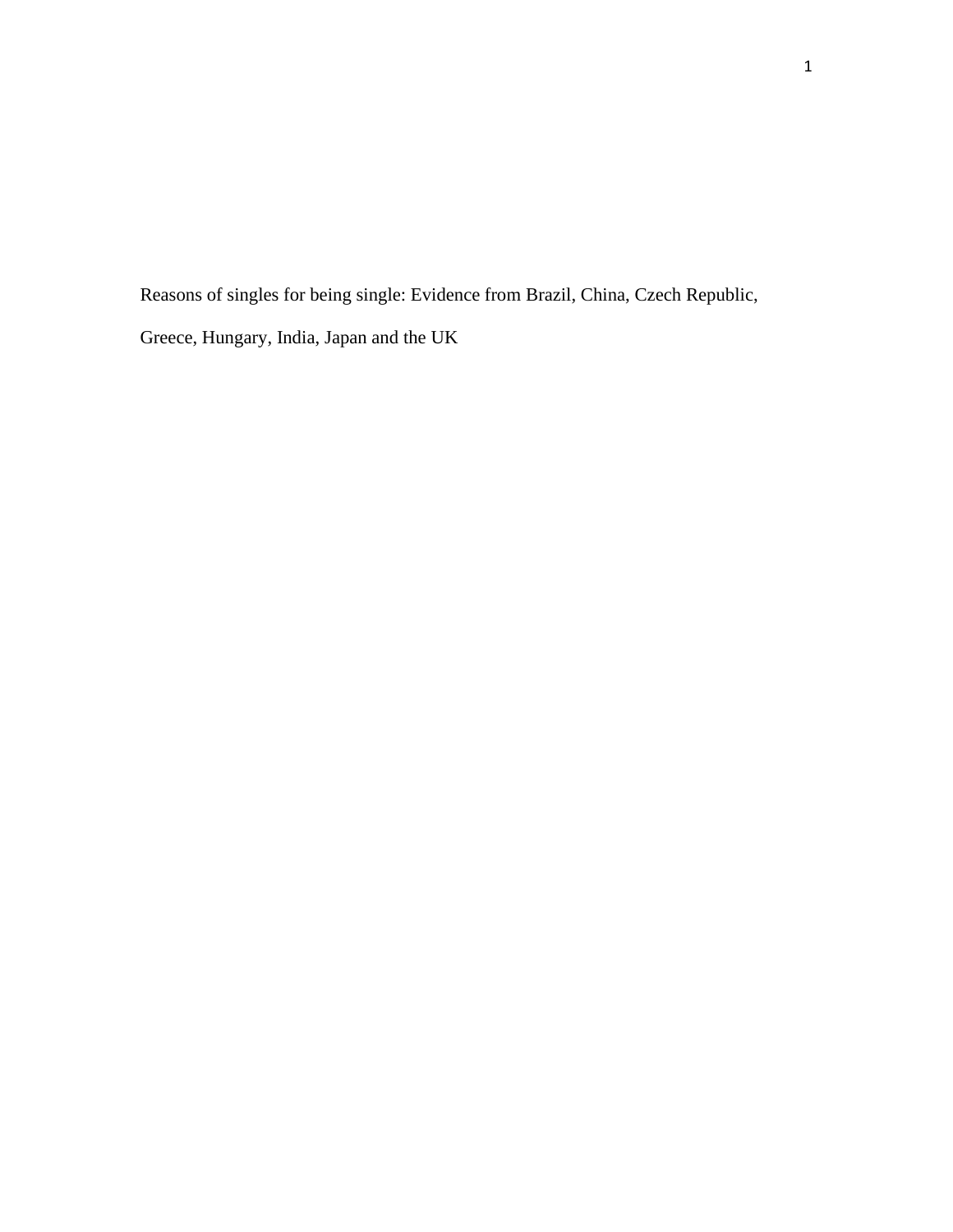Reasons of singles for being single: Evidence from Brazil, China, Czech Republic, Greece, Hungary, India, Japan and the UK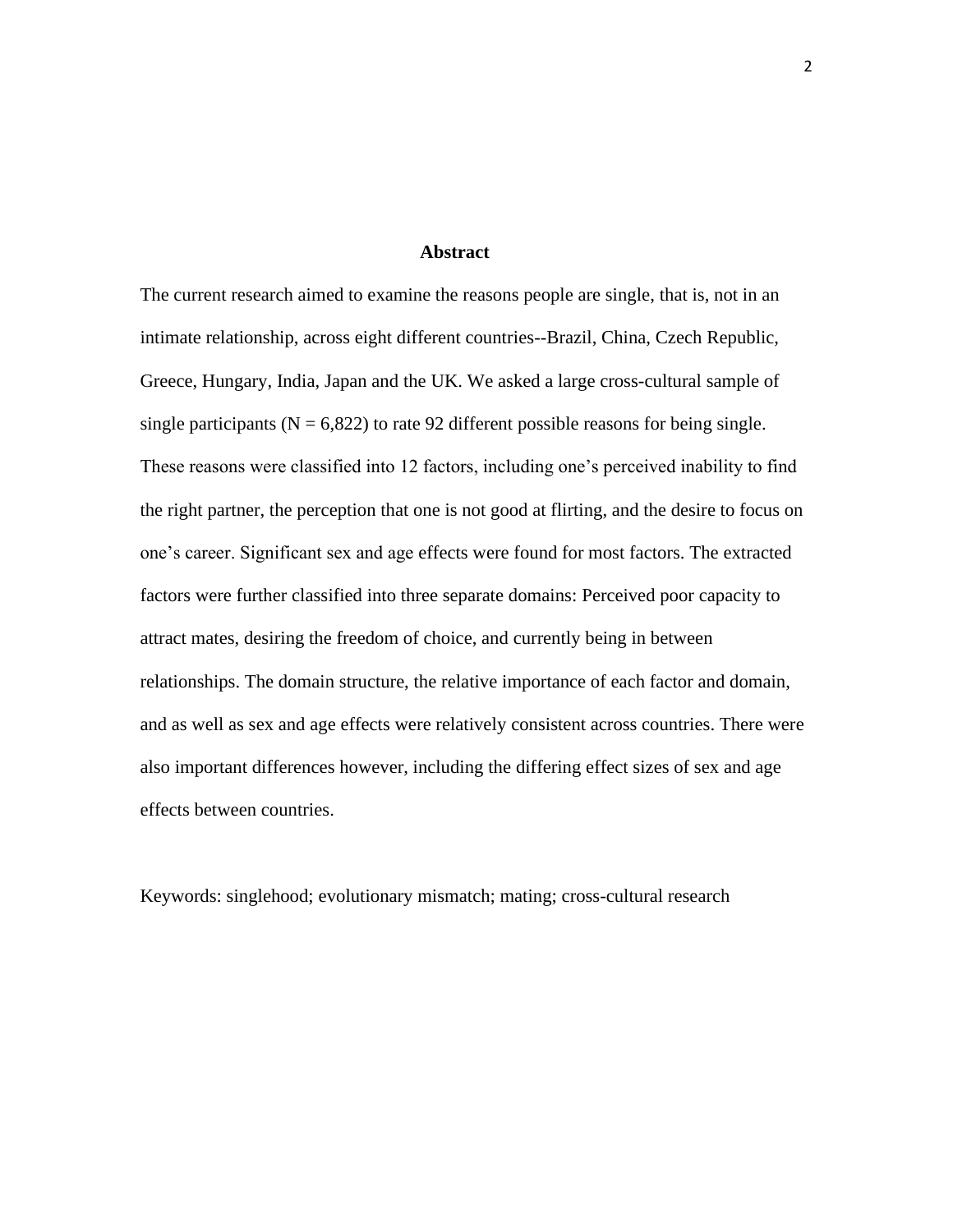#### **Abstract**

The current research aimed to examine the reasons people are single, that is, not in an intimate relationship, across eight different countries--Brazil, China, Czech Republic, Greece, Hungary, India, Japan and the UK. We asked a large cross-cultural sample of single participants ( $N = 6,822$ ) to rate 92 different possible reasons for being single. These reasons were classified into 12 factors, including one's perceived inability to find the right partner, the perception that one is not good at flirting, and the desire to focus on one's career. Significant sex and age effects were found for most factors. The extracted factors were further classified into three separate domains: Perceived poor capacity to attract mates, desiring the freedom of choice, and currently being in between relationships. The domain structure, the relative importance of each factor and domain, and as well as sex and age effects were relatively consistent across countries. There were also important differences however, including the differing effect sizes of sex and age effects between countries.

Keywords: singlehood; evolutionary mismatch; mating; cross-cultural research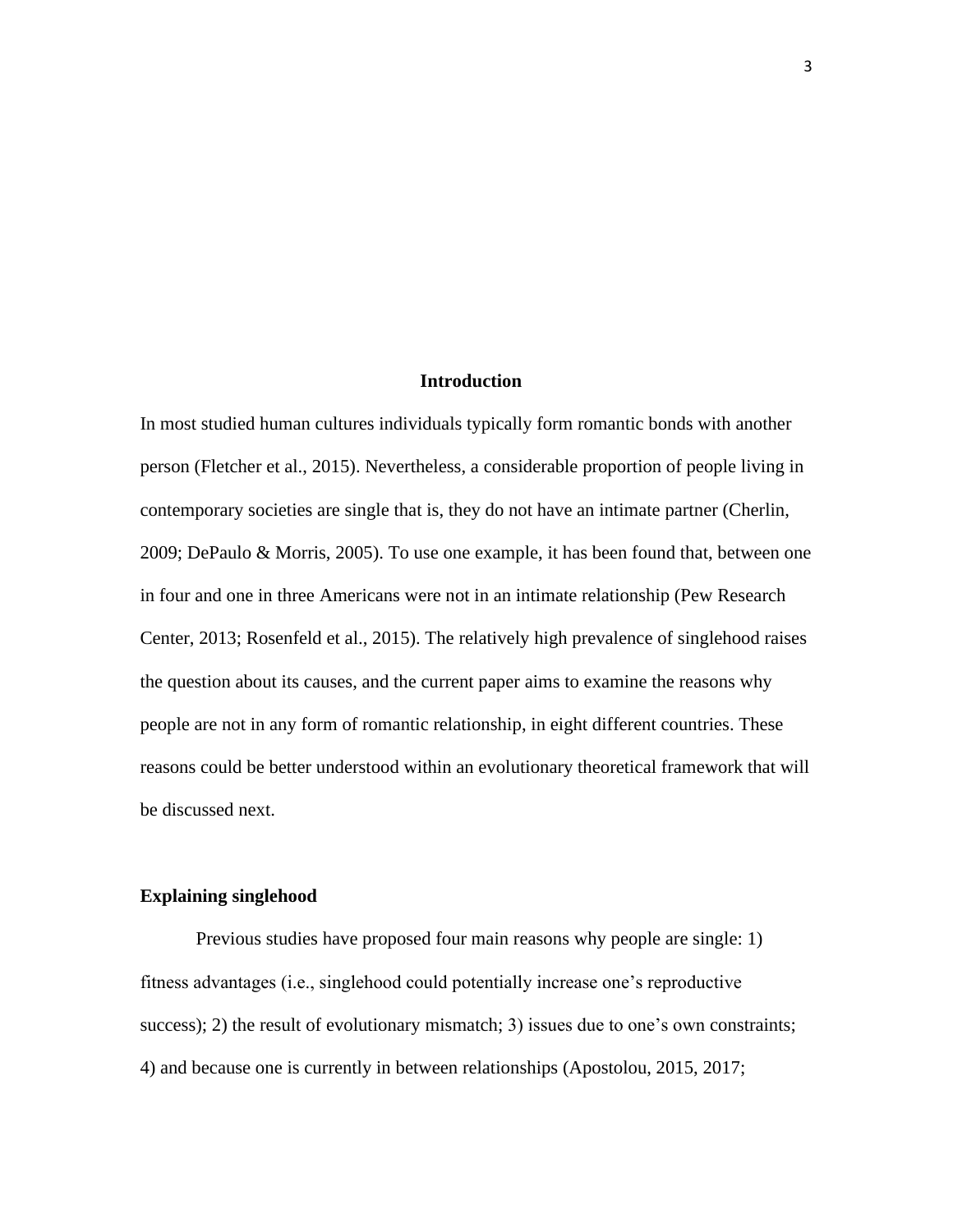# **Introduction**

In most studied human cultures individuals typically form romantic bonds with another person (Fletcher et al., 2015). Nevertheless, a considerable proportion of people living in contemporary societies are single that is, they do not have an intimate partner (Cherlin, 2009; DePaulo & Morris, 2005). To use one example, it has been found that, between one in four and one in three Americans were not in an intimate relationship (Pew Research Center, 2013; Rosenfeld et al., 2015). The relatively high prevalence of singlehood raises the question about its causes, and the current paper aims to examine the reasons why people are not in any form of romantic relationship, in eight different countries. These reasons could be better understood within an evolutionary theoretical framework that will be discussed next.

# **Explaining singlehood**

Previous studies have proposed four main reasons why people are single: 1) fitness advantages (i.e., singlehood could potentially increase one's reproductive success); 2) the result of evolutionary mismatch; 3) issues due to one's own constraints; 4) and because one is currently in between relationships (Apostolou, 2015, 2017;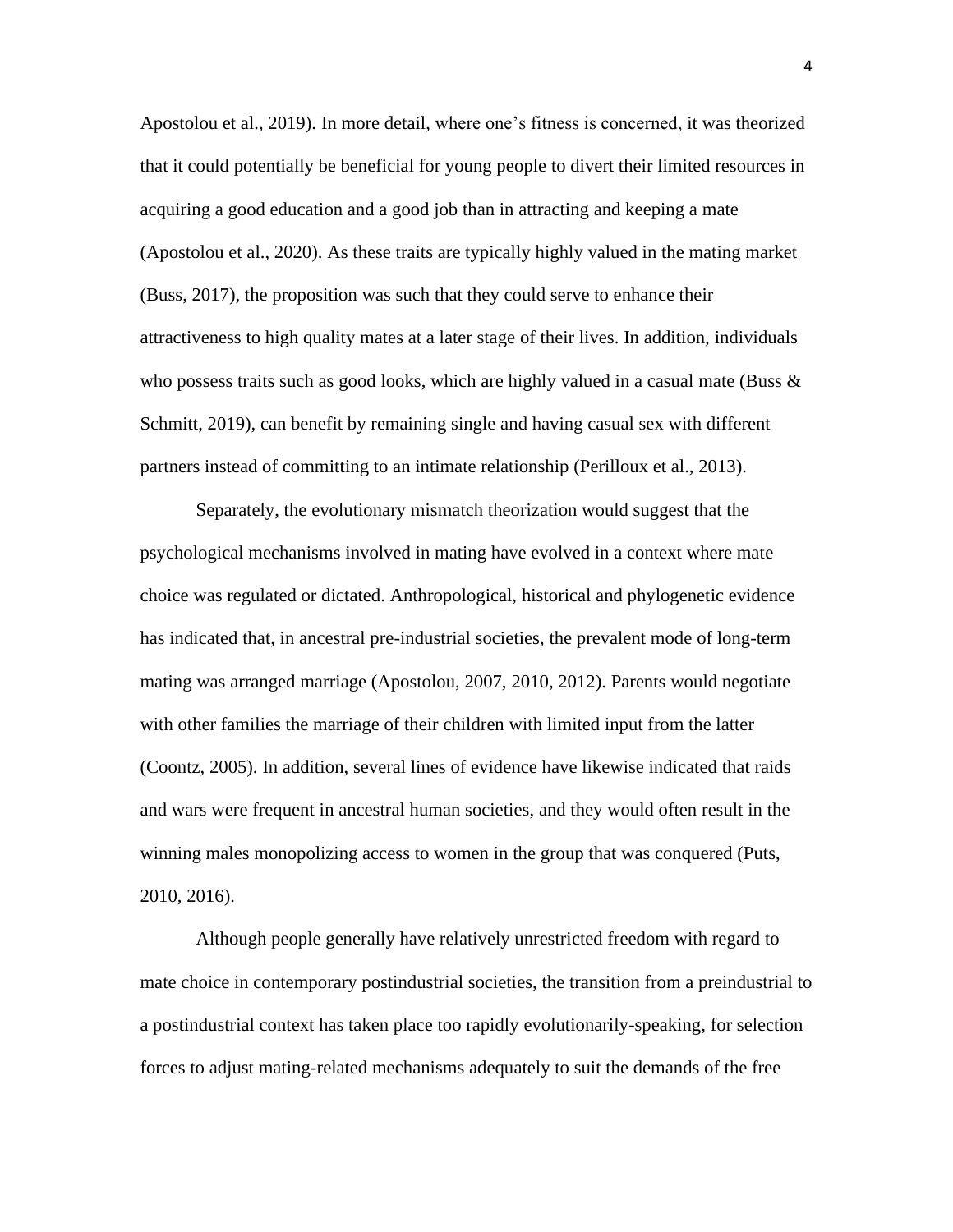Apostolou et al., 2019). In more detail, where one's fitness is concerned, it was theorized that it could potentially be beneficial for young people to divert their limited resources in acquiring a good education and a good job than in attracting and keeping a mate (Apostolou et al., 2020). As these traits are typically highly valued in the mating market (Buss, 2017), the proposition was such that they could serve to enhance their attractiveness to high quality mates at a later stage of their lives. In addition, individuals who possess traits such as good looks, which are highly valued in a casual mate (Buss  $\&$ Schmitt, 2019), can benefit by remaining single and having casual sex with different partners instead of committing to an intimate relationship (Perilloux et al., 2013).

Separately, the evolutionary mismatch theorization would suggest that the psychological mechanisms involved in mating have evolved in a context where mate choice was regulated or dictated. Anthropological, historical and phylogenetic evidence has indicated that, in ancestral pre-industrial societies, the prevalent mode of long-term mating was arranged marriage (Apostolou, 2007, 2010, 2012). Parents would negotiate with other families the marriage of their children with limited input from the latter (Coontz, 2005). In addition, several lines of evidence have likewise indicated that raids and wars were frequent in ancestral human societies, and they would often result in the winning males monopolizing access to women in the group that was conquered (Puts, 2010, 2016).

Although people generally have relatively unrestricted freedom with regard to mate choice in contemporary postindustrial societies, the transition from a preindustrial to a postindustrial context has taken place too rapidly evolutionarily-speaking, for selection forces to adjust mating-related mechanisms adequately to suit the demands of the free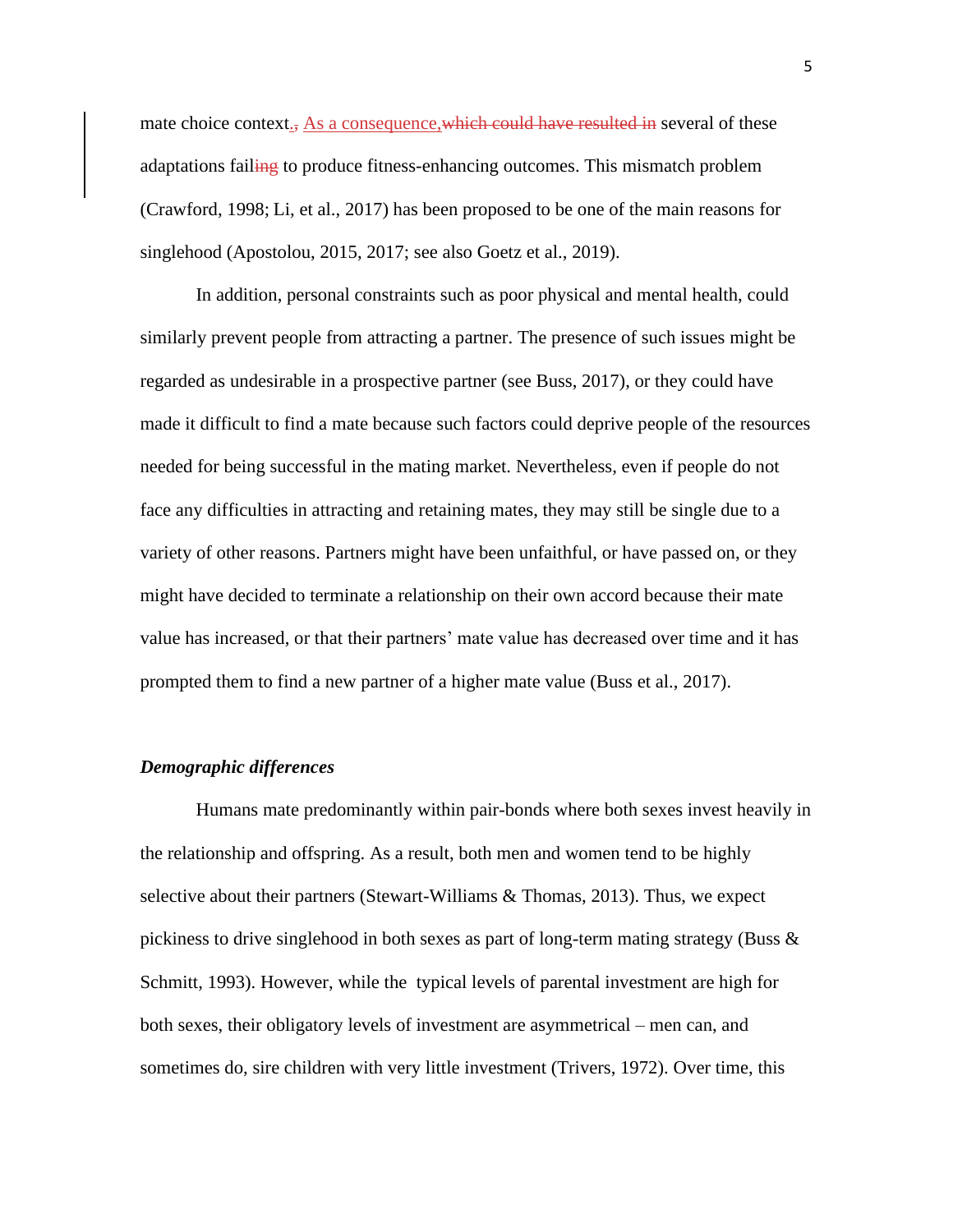mate choice context., As a consequence, which could have resulted in several of these adaptations failing to produce fitness-enhancing outcomes. This mismatch problem (Crawford, 1998; Li, et al., 2017) has been proposed to be one of the main reasons for singlehood (Apostolou, 2015, 2017; see also Goetz et al., 2019).

In addition, personal constraints such as poor physical and mental health, could similarly prevent people from attracting a partner. The presence of such issues might be regarded as undesirable in a prospective partner (see Buss, 2017), or they could have made it difficult to find a mate because such factors could deprive people of the resources needed for being successful in the mating market. Nevertheless, even if people do not face any difficulties in attracting and retaining mates, they may still be single due to a variety of other reasons. Partners might have been unfaithful, or have passed on, or they might have decided to terminate a relationship on their own accord because their mate value has increased, or that their partners' mate value has decreased over time and it has prompted them to find a new partner of a higher mate value (Buss et al., 2017).

#### *Demographic differences*

Humans mate predominantly within pair-bonds where both sexes invest heavily in the relationship and offspring. As a result, both men and women tend to be highly selective about their partners (Stewart-Williams & Thomas, 2013). Thus, we expect pickiness to drive singlehood in both sexes as part of long-term mating strategy (Buss & Schmitt, 1993). However, while the typical levels of parental investment are high for both sexes, their obligatory levels of investment are asymmetrical – men can, and sometimes do, sire children with very little investment (Trivers, 1972). Over time, this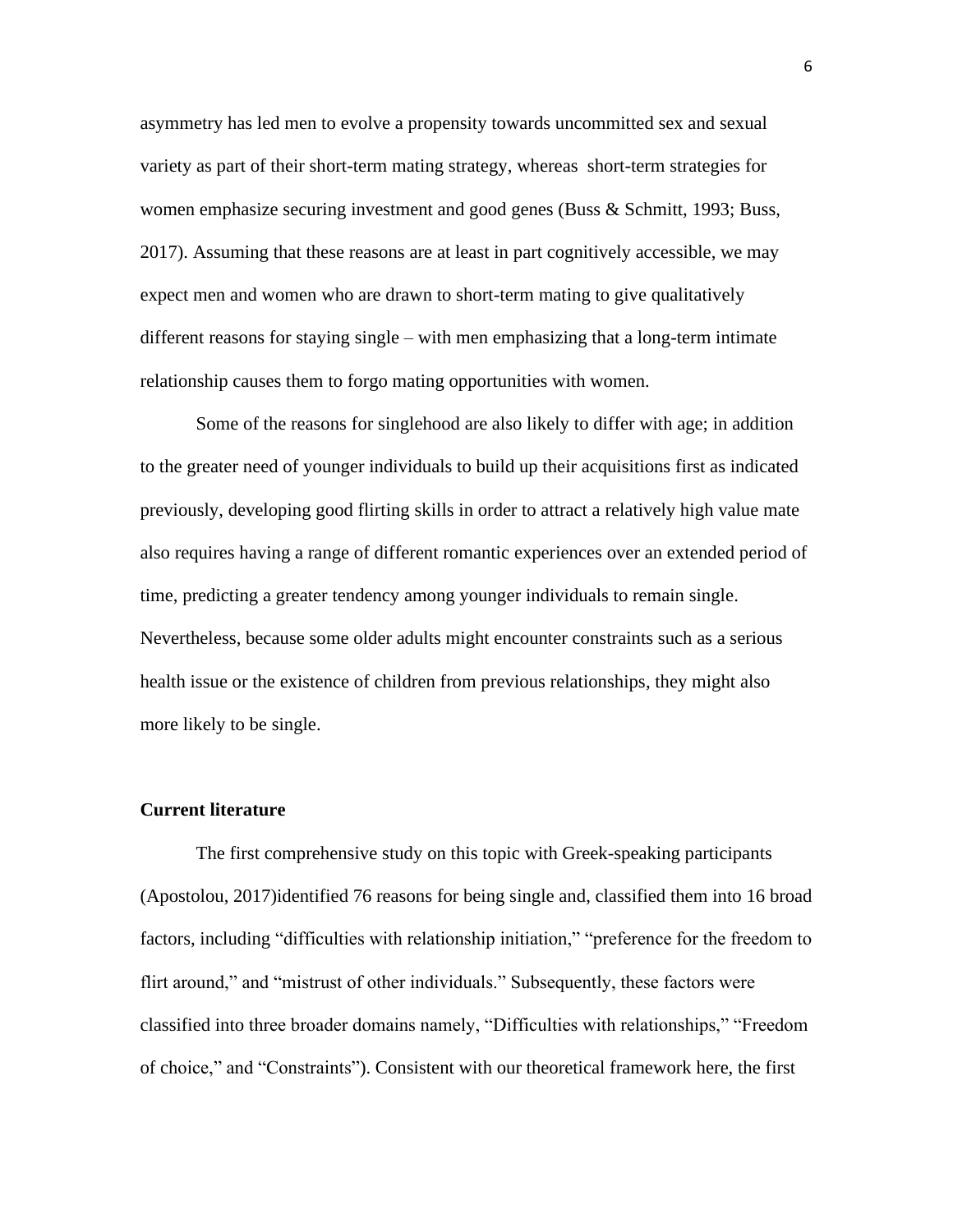asymmetry has led men to evolve a propensity towards uncommitted sex and sexual variety as part of their short-term mating strategy, whereas short-term strategies for women emphasize securing investment and good genes (Buss & Schmitt, 1993; Buss, 2017). Assuming that these reasons are at least in part cognitively accessible, we may expect men and women who are drawn to short-term mating to give qualitatively different reasons for staying single – with men emphasizing that a long-term intimate relationship causes them to forgo mating opportunities with women.

Some of the reasons for singlehood are also likely to differ with age; in addition to the greater need of younger individuals to build up their acquisitions first as indicated previously, developing good flirting skills in order to attract a relatively high value mate also requires having a range of different romantic experiences over an extended period of time, predicting a greater tendency among younger individuals to remain single. Nevertheless, because some older adults might encounter constraints such as a serious health issue or the existence of children from previous relationships, they might also more likely to be single.

#### **Current literature**

The first comprehensive study on this topic with Greek-speaking participants (Apostolou, 2017)identified 76 reasons for being single and, classified them into 16 broad factors, including "difficulties with relationship initiation," "preference for the freedom to flirt around," and "mistrust of other individuals." Subsequently, these factors were classified into three broader domains namely, "Difficulties with relationships," "Freedom of choice," and "Constraints"). Consistent with our theoretical framework here, the first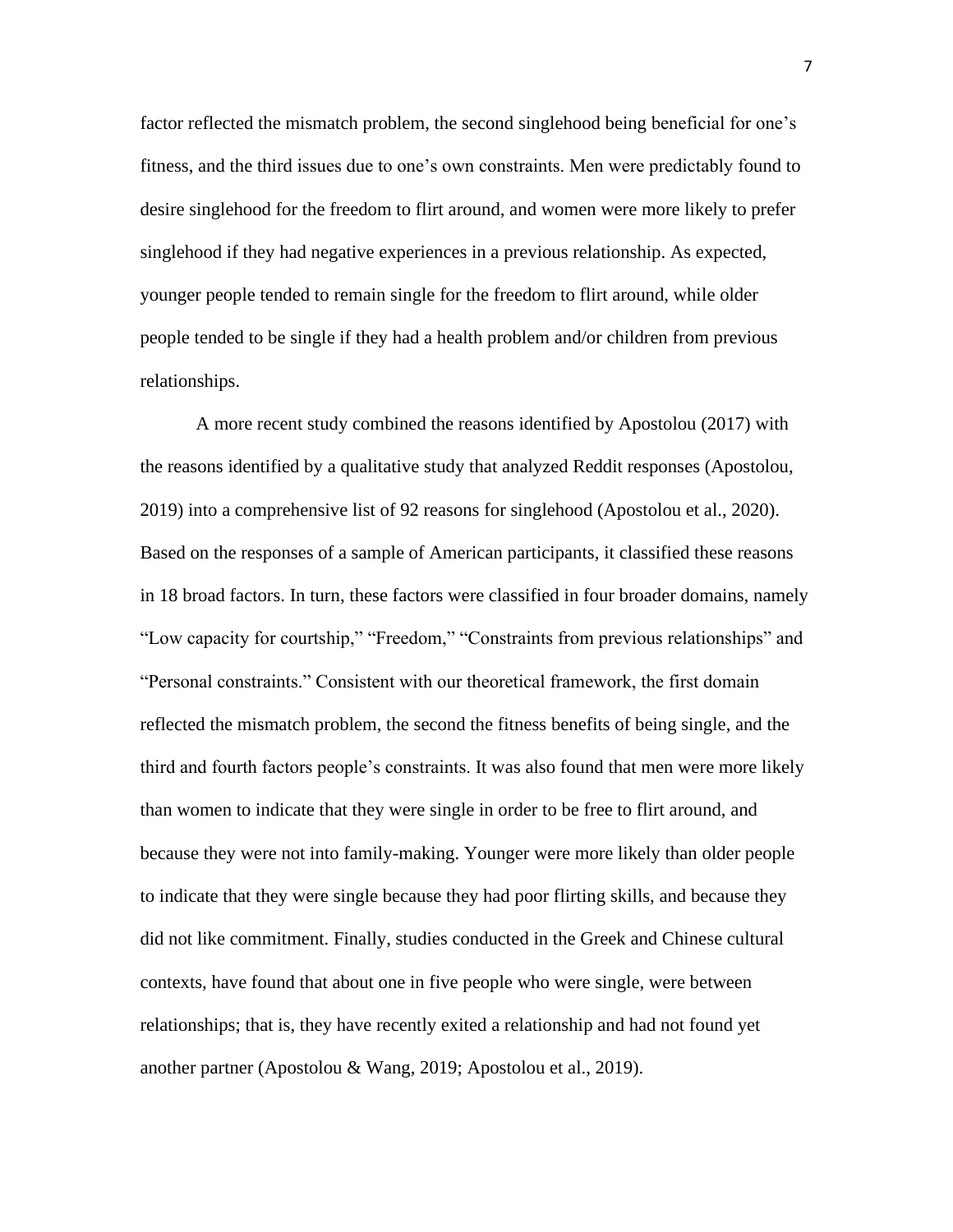factor reflected the mismatch problem, the second singlehood being beneficial for one's fitness, and the third issues due to one's own constraints. Men were predictably found to desire singlehood for the freedom to flirt around, and women were more likely to prefer singlehood if they had negative experiences in a previous relationship. As expected, younger people tended to remain single for the freedom to flirt around, while older people tended to be single if they had a health problem and/or children from previous relationships.

A more recent study combined the reasons identified by Apostolou (2017) with the reasons identified by a qualitative study that analyzed Reddit responses (Apostolou, 2019) into a comprehensive list of 92 reasons for singlehood (Apostolou et al., 2020). Based on the responses of a sample of American participants, it classified these reasons in 18 broad factors. In turn, these factors were classified in four broader domains, namely "Low capacity for courtship," "Freedom," "Constraints from previous relationships" and "Personal constraints." Consistent with our theoretical framework, the first domain reflected the mismatch problem, the second the fitness benefits of being single, and the third and fourth factors people's constraints. It was also found that men were more likely than women to indicate that they were single in order to be free to flirt around, and because they were not into family-making. Younger were more likely than older people to indicate that they were single because they had poor flirting skills, and because they did not like commitment. Finally, studies conducted in the Greek and Chinese cultural contexts, have found that about one in five people who were single, were between relationships; that is, they have recently exited a relationship and had not found yet another partner (Apostolou & Wang, 2019; Apostolou et al., 2019).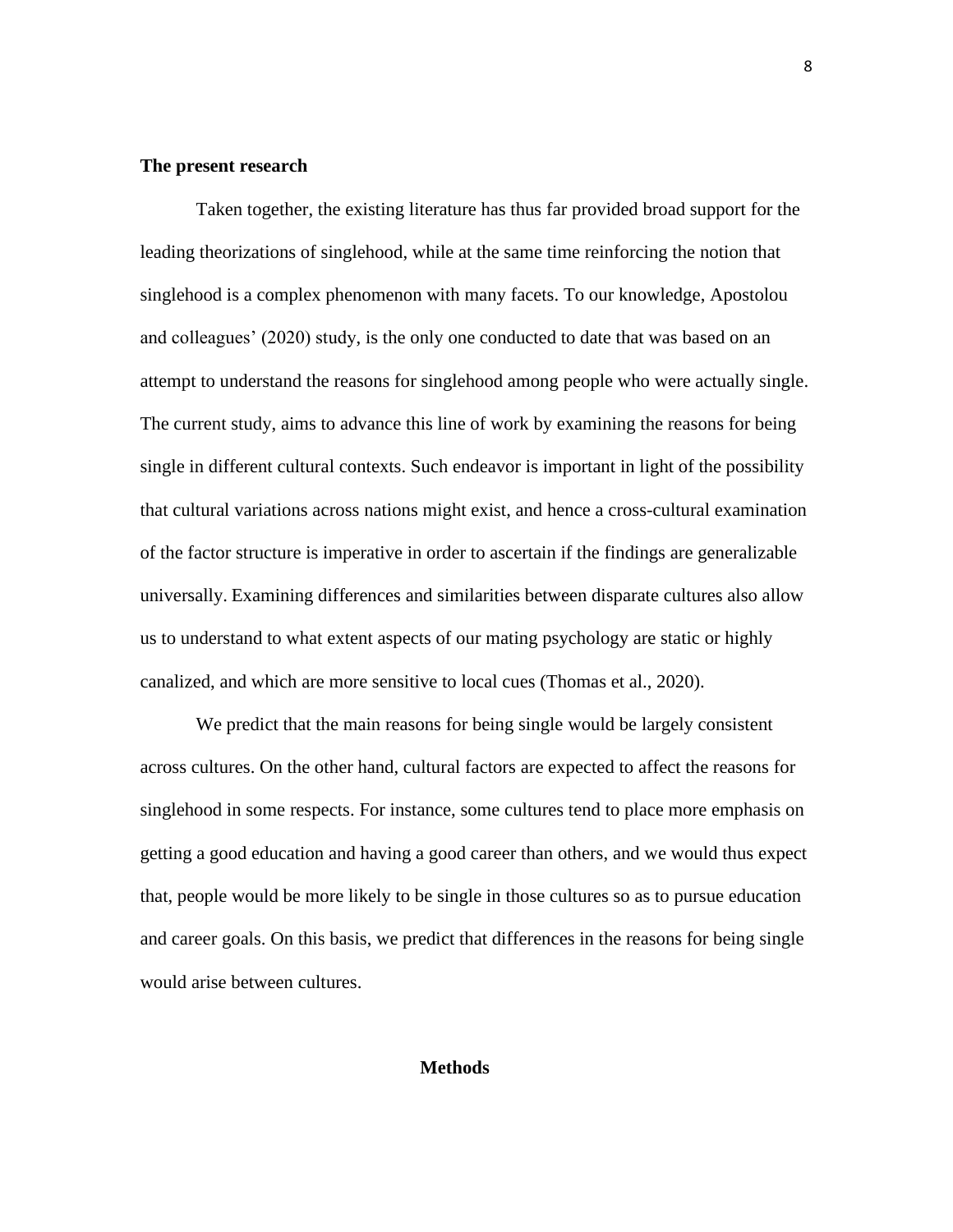#### **The present research**

Taken together, the existing literature has thus far provided broad support for the leading theorizations of singlehood, while at the same time reinforcing the notion that singlehood is a complex phenomenon with many facets. To our knowledge, Apostolou and colleagues' (2020) study, is the only one conducted to date that was based on an attempt to understand the reasons for singlehood among people who were actually single. The current study, aims to advance this line of work by examining the reasons for being single in different cultural contexts. Such endeavor is important in light of the possibility that cultural variations across nations might exist, and hence a cross-cultural examination of the factor structure is imperative in order to ascertain if the findings are generalizable universally. Examining differences and similarities between disparate cultures also allow us to understand to what extent aspects of our mating psychology are static or highly canalized, and which are more sensitive to local cues (Thomas et al., 2020).

We predict that the main reasons for being single would be largely consistent across cultures. On the other hand, cultural factors are expected to affect the reasons for singlehood in some respects. For instance, some cultures tend to place more emphasis on getting a good education and having a good career than others, and we would thus expect that, people would be more likely to be single in those cultures so as to pursue education and career goals. On this basis, we predict that differences in the reasons for being single would arise between cultures.

#### **Methods**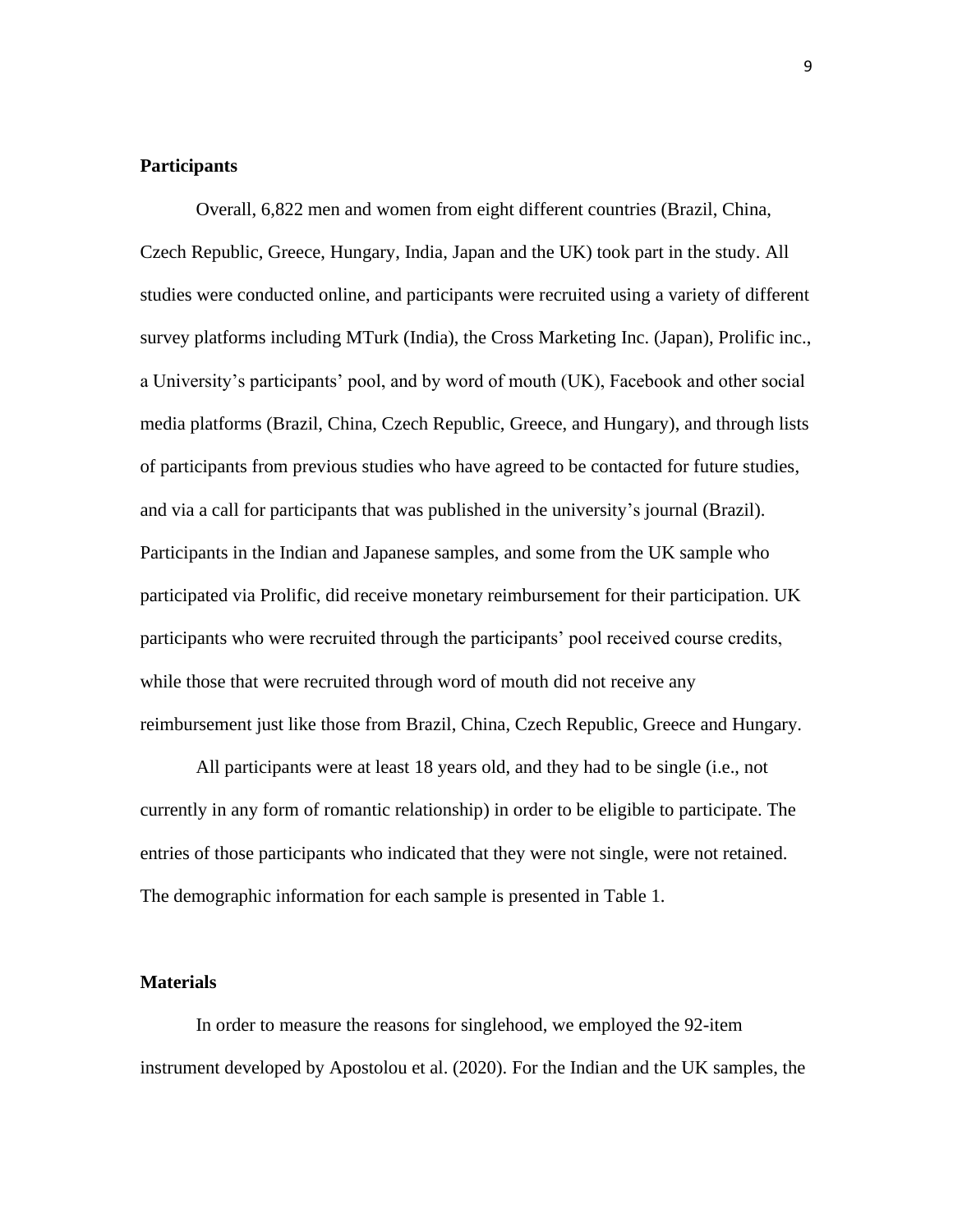# **Participants**

Overall, 6,822 men and women from eight different countries (Brazil, China, Czech Republic, Greece, Hungary, India, Japan and the UK) took part in the study. All studies were conducted online, and participants were recruited using a variety of different survey platforms including MTurk (India), the Cross Marketing Inc. (Japan), Prolific inc., a University's participants' pool, and by word of mouth (UK), Facebook and other social media platforms (Brazil, China, Czech Republic, Greece, and Hungary), and through lists of participants from previous studies who have agreed to be contacted for future studies, and via a call for participants that was published in the university's journal (Brazil). Participants in the Indian and Japanese samples, and some from the UK sample who participated via Prolific, did receive monetary reimbursement for their participation. UK participants who were recruited through the participants' pool received course credits, while those that were recruited through word of mouth did not receive any reimbursement just like those from Brazil, China, Czech Republic, Greece and Hungary.

All participants were at least 18 years old, and they had to be single (i.e., not currently in any form of romantic relationship) in order to be eligible to participate. The entries of those participants who indicated that they were not single, were not retained. The demographic information for each sample is presented in Table 1.

#### **Materials**

In order to measure the reasons for singlehood, we employed the 92-item instrument developed by Apostolou et al. (2020). For the Indian and the UK samples, the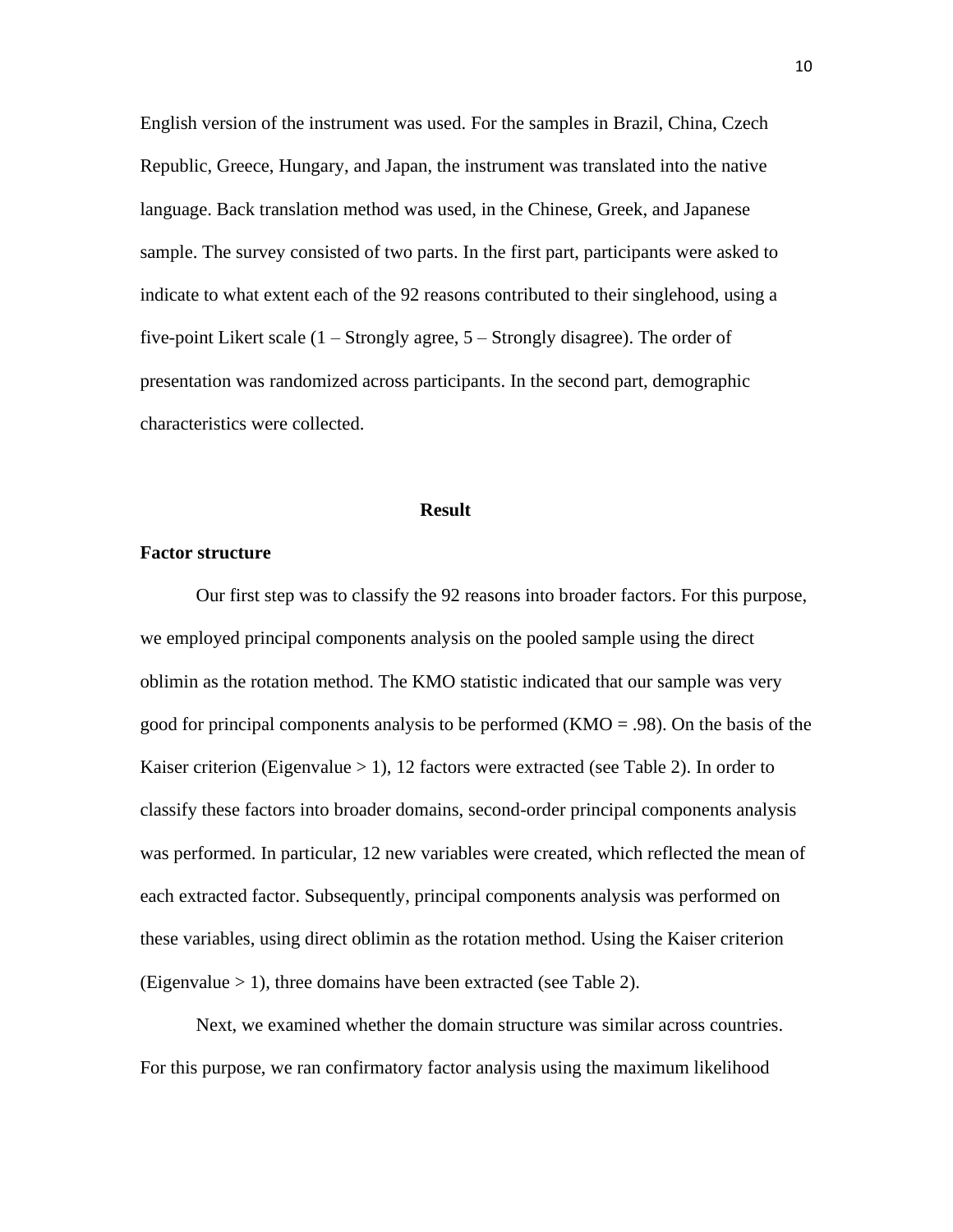English version of the instrument was used. For the samples in Brazil, China, Czech Republic, Greece, Hungary, and Japan, the instrument was translated into the native language. Back translation method was used, in the Chinese, Greek, and Japanese sample. The survey consisted of two parts. In the first part, participants were asked to indicate to what extent each of the 92 reasons contributed to their singlehood, using a five-point Likert scale (1 – Strongly agree, 5 – Strongly disagree). The order of presentation was randomized across participants. In the second part, demographic characteristics were collected.

#### **Result**

#### **Factor structure**

Our first step was to classify the 92 reasons into broader factors. For this purpose, we employed principal components analysis on the pooled sample using the direct oblimin as the rotation method. The KMO statistic indicated that our sample was very good for principal components analysis to be performed ( $KMO = .98$ ). On the basis of the Kaiser criterion (Eigenvalue  $> 1$ ), 12 factors were extracted (see Table 2). In order to classify these factors into broader domains, second-order principal components analysis was performed. In particular, 12 new variables were created, which reflected the mean of each extracted factor. Subsequently, principal components analysis was performed on these variables, using direct oblimin as the rotation method. Using the Kaiser criterion (Eigenvalue  $> 1$ ), three domains have been extracted (see Table 2).

Next, we examined whether the domain structure was similar across countries. For this purpose, we ran confirmatory factor analysis using the maximum likelihood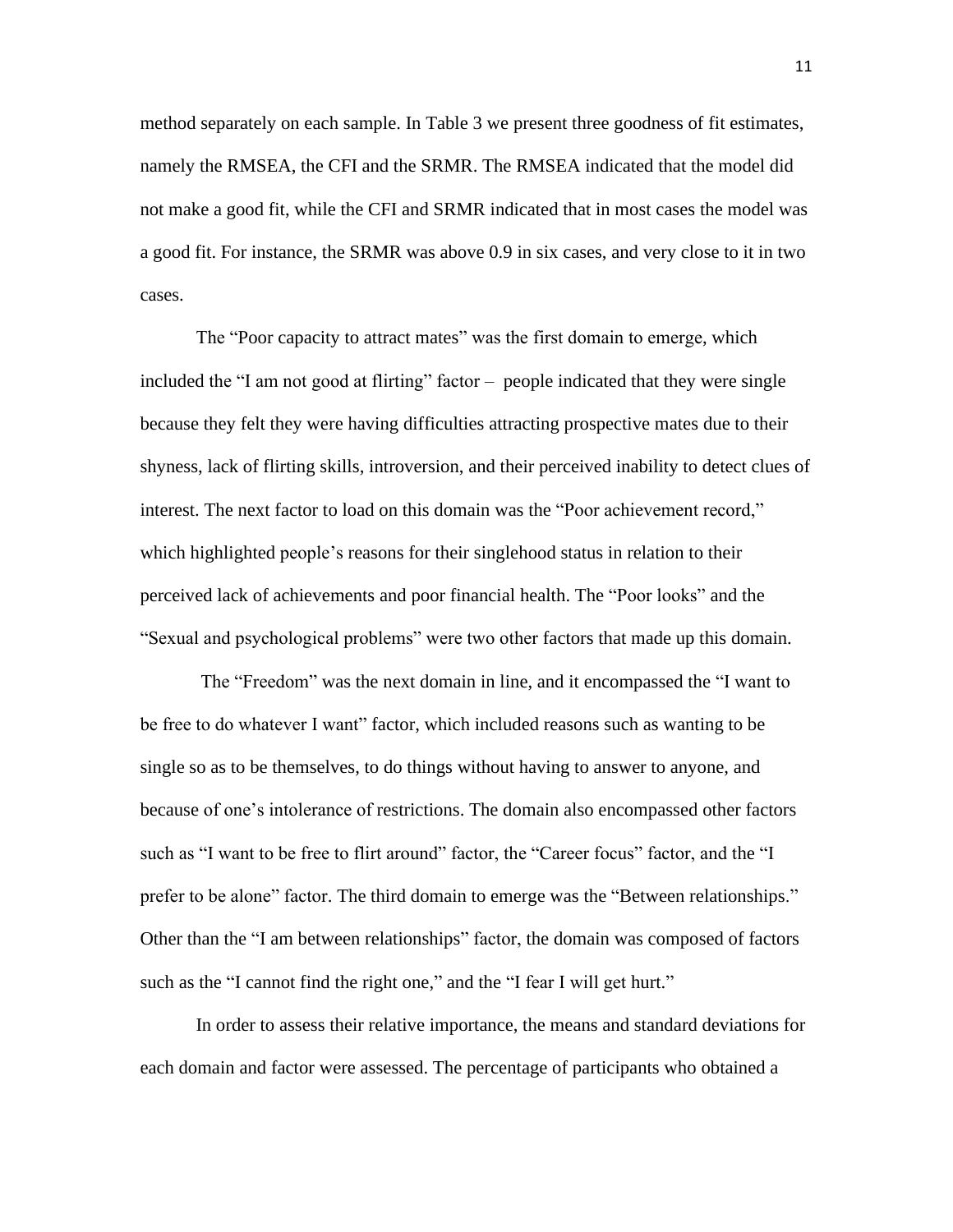method separately on each sample. In Table 3 we present three goodness of fit estimates, namely the RMSEA, the CFI and the SRMR. The RMSEA indicated that the model did not make a good fit, while the CFI and SRMR indicated that in most cases the model was a good fit. For instance, the SRMR was above 0.9 in six cases, and very close to it in two cases.

The "Poor capacity to attract mates" was the first domain to emerge, which included the "I am not good at flirting" factor – people indicated that they were single because they felt they were having difficulties attracting prospective mates due to their shyness, lack of flirting skills, introversion, and their perceived inability to detect clues of interest. The next factor to load on this domain was the "Poor achievement record," which highlighted people's reasons for their singlehood status in relation to their perceived lack of achievements and poor financial health. The "Poor looks" and the "Sexual and psychological problems" were two other factors that made up this domain.

The "Freedom" was the next domain in line, and it encompassed the "I want to be free to do whatever I want" factor, which included reasons such as wanting to be single so as to be themselves, to do things without having to answer to anyone, and because of one's intolerance of restrictions. The domain also encompassed other factors such as "I want to be free to flirt around" factor, the "Career focus" factor, and the "I prefer to be alone" factor. The third domain to emerge was the "Between relationships." Other than the "I am between relationships" factor, the domain was composed of factors such as the "I cannot find the right one," and the "I fear I will get hurt."

In order to assess their relative importance, the means and standard deviations for each domain and factor were assessed. The percentage of participants who obtained a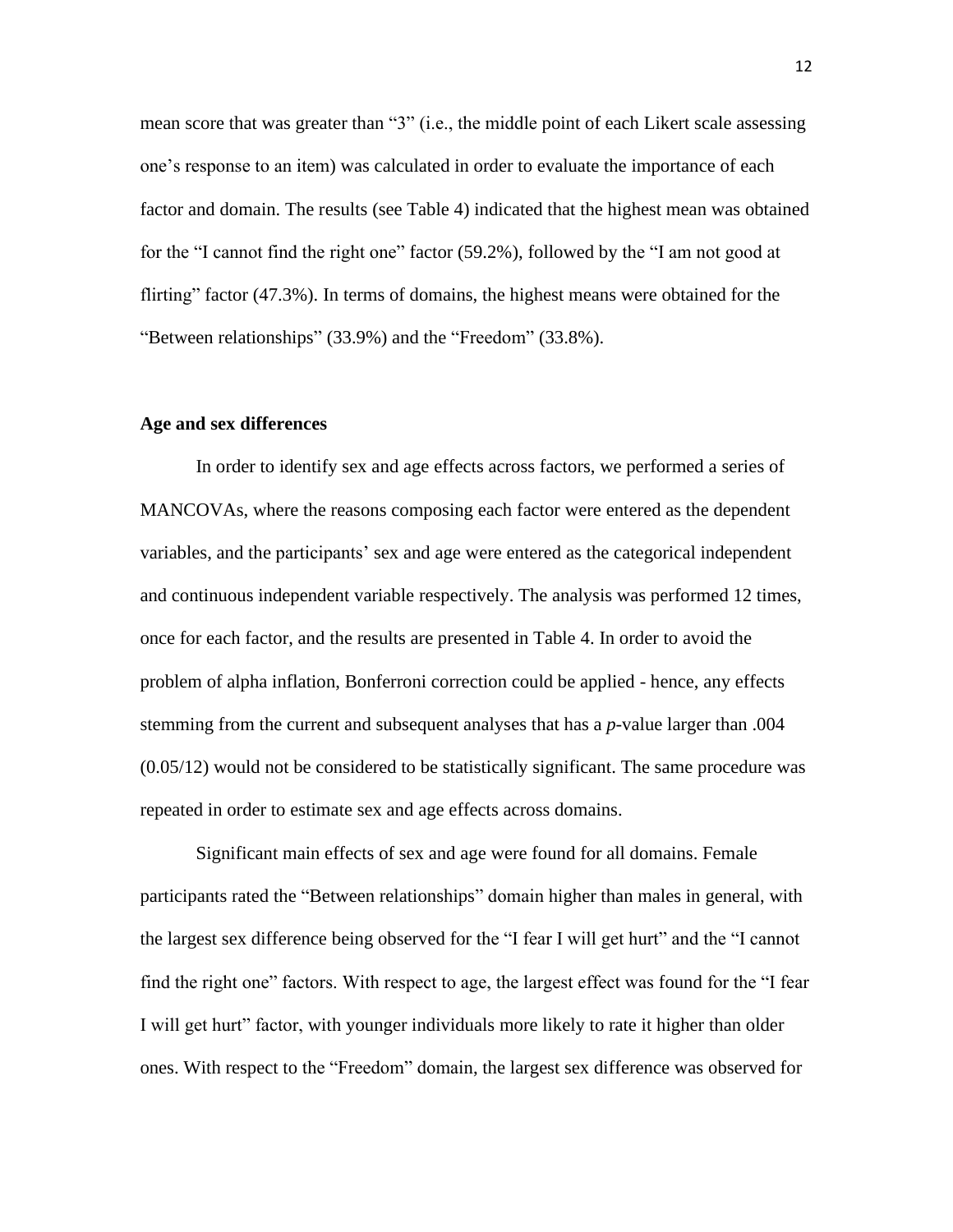mean score that was greater than "3" (i.e., the middle point of each Likert scale assessing one's response to an item) was calculated in order to evaluate the importance of each factor and domain. The results (see Table 4) indicated that the highest mean was obtained for the "I cannot find the right one" factor (59.2%), followed by the "I am not good at flirting" factor (47.3%). In terms of domains, the highest means were obtained for the "Between relationships" (33.9%) and the "Freedom" (33.8%).

### **Age and sex differences**

In order to identify sex and age effects across factors, we performed a series of MANCOVAs, where the reasons composing each factor were entered as the dependent variables, and the participants' sex and age were entered as the categorical independent and continuous independent variable respectively. The analysis was performed 12 times, once for each factor, and the results are presented in Table 4. In order to avoid the problem of alpha inflation, Bonferroni correction could be applied - hence, any effects stemming from the current and subsequent analyses that has a *p*-value larger than .004 (0.05/12) would not be considered to be statistically significant. The same procedure was repeated in order to estimate sex and age effects across domains.

Significant main effects of sex and age were found for all domains. Female participants rated the "Between relationships" domain higher than males in general, with the largest sex difference being observed for the "I fear I will get hurt" and the "I cannot find the right one" factors. With respect to age, the largest effect was found for the "I fear I will get hurt" factor, with younger individuals more likely to rate it higher than older ones. With respect to the "Freedom" domain, the largest sex difference was observed for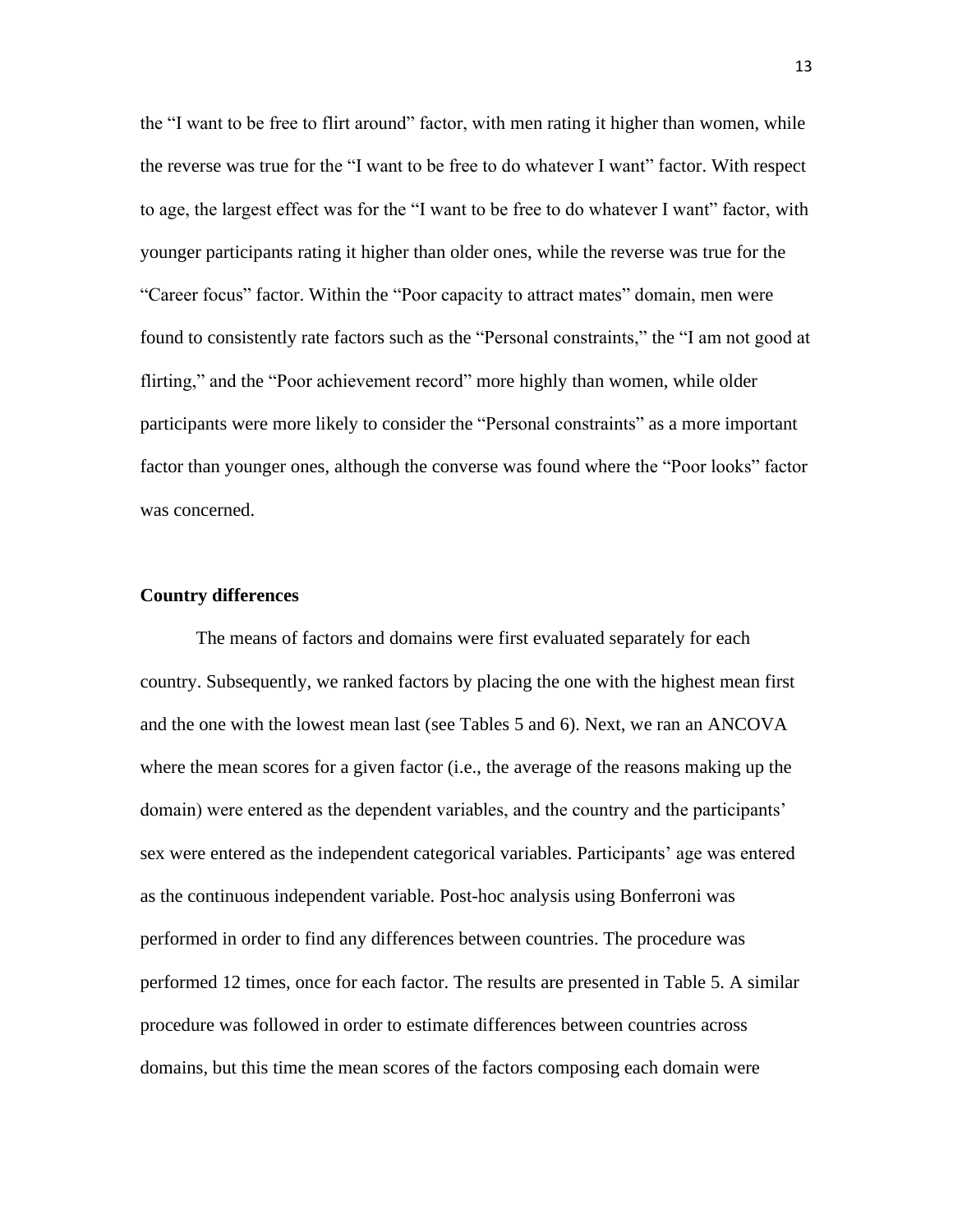the "I want to be free to flirt around" factor, with men rating it higher than women, while the reverse was true for the "I want to be free to do whatever I want" factor. With respect to age, the largest effect was for the "I want to be free to do whatever I want" factor, with younger participants rating it higher than older ones, while the reverse was true for the "Career focus" factor. Within the "Poor capacity to attract mates" domain, men were found to consistently rate factors such as the "Personal constraints," the "I am not good at flirting," and the "Poor achievement record" more highly than women, while older participants were more likely to consider the "Personal constraints" as a more important factor than younger ones, although the converse was found where the "Poor looks" factor was concerned.

#### **Country differences**

The means of factors and domains were first evaluated separately for each country. Subsequently, we ranked factors by placing the one with the highest mean first and the one with the lowest mean last (see Tables 5 and 6). Next, we ran an ANCOVA where the mean scores for a given factor (i.e., the average of the reasons making up the domain) were entered as the dependent variables, and the country and the participants' sex were entered as the independent categorical variables. Participants' age was entered as the continuous independent variable. Post-hoc analysis using Bonferroni was performed in order to find any differences between countries. The procedure was performed 12 times, once for each factor. The results are presented in Table 5. A similar procedure was followed in order to estimate differences between countries across domains, but this time the mean scores of the factors composing each domain were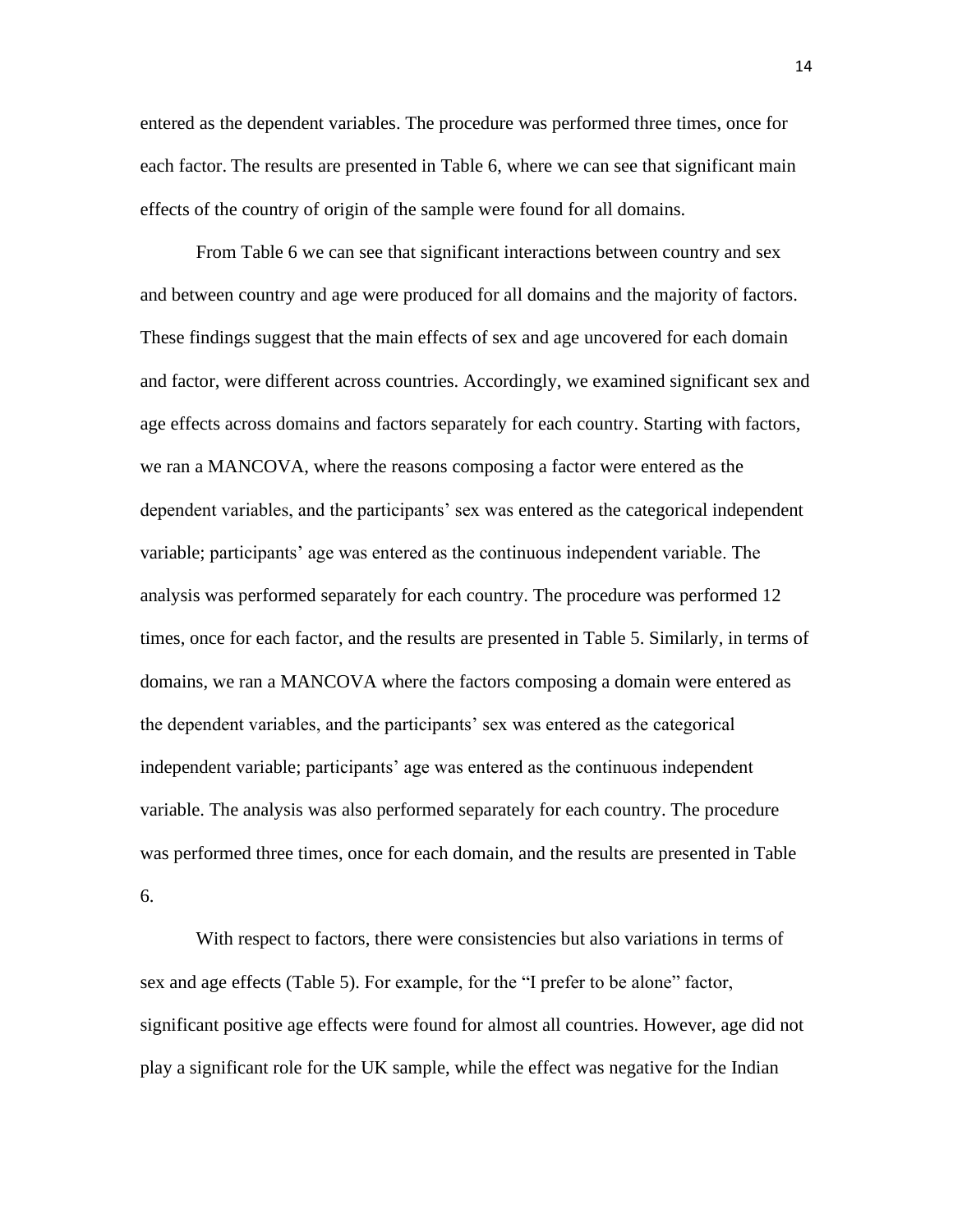entered as the dependent variables. The procedure was performed three times, once for each factor. The results are presented in Table 6, where we can see that significant main effects of the country of origin of the sample were found for all domains.

From Table 6 we can see that significant interactions between country and sex and between country and age were produced for all domains and the majority of factors. These findings suggest that the main effects of sex and age uncovered for each domain and factor, were different across countries. Accordingly, we examined significant sex and age effects across domains and factors separately for each country. Starting with factors, we ran a MANCOVA, where the reasons composing a factor were entered as the dependent variables, and the participants' sex was entered as the categorical independent variable; participants' age was entered as the continuous independent variable. The analysis was performed separately for each country. The procedure was performed 12 times, once for each factor, and the results are presented in Table 5. Similarly, in terms of domains, we ran a MANCOVA where the factors composing a domain were entered as the dependent variables, and the participants' sex was entered as the categorical independent variable; participants' age was entered as the continuous independent variable. The analysis was also performed separately for each country. The procedure was performed three times, once for each domain, and the results are presented in Table 6.

With respect to factors, there were consistencies but also variations in terms of sex and age effects (Table 5). For example, for the "I prefer to be alone" factor, significant positive age effects were found for almost all countries. However, age did not play a significant role for the UK sample, while the effect was negative for the Indian

14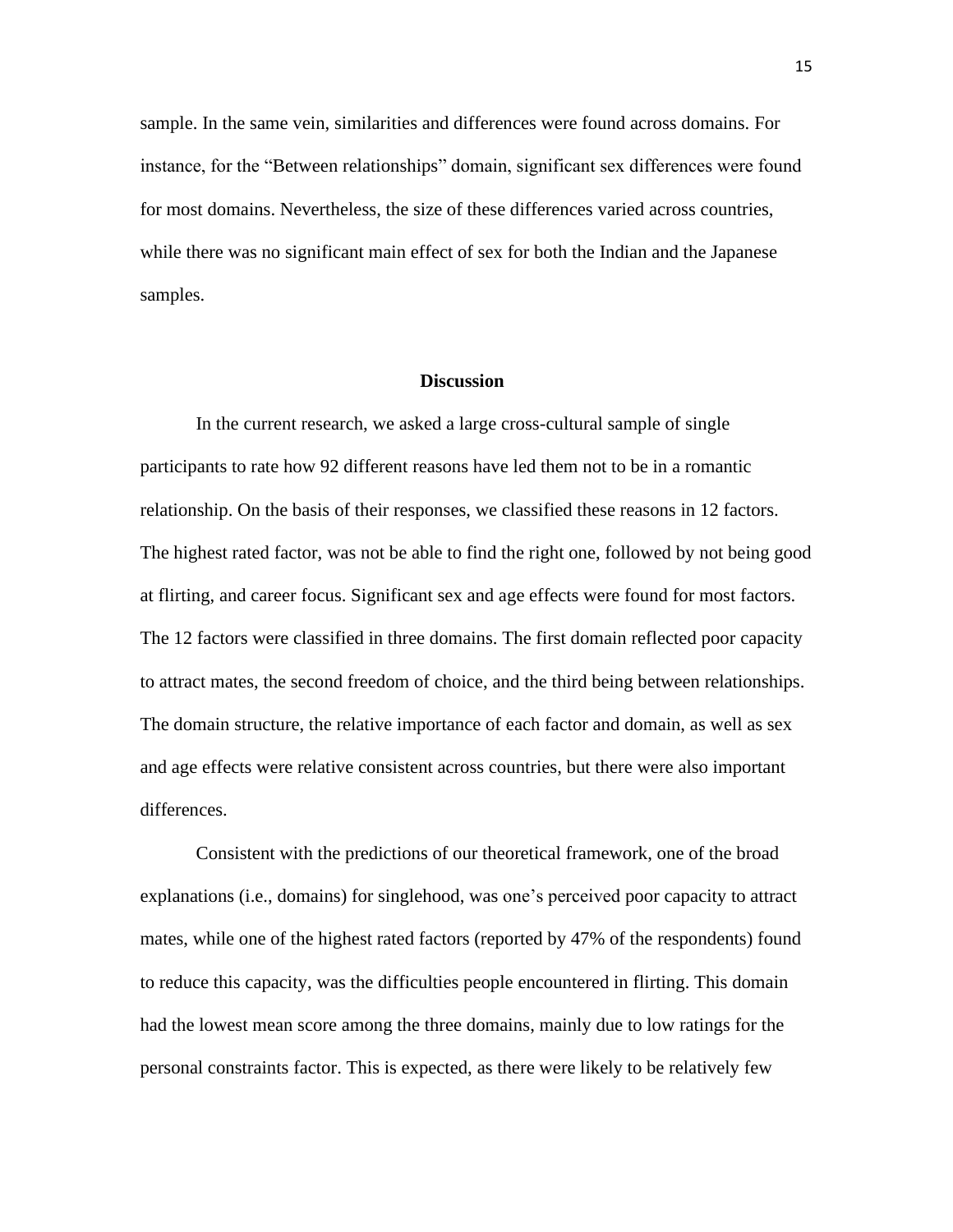sample. In the same vein, similarities and differences were found across domains. For instance, for the "Between relationships" domain, significant sex differences were found for most domains. Nevertheless, the size of these differences varied across countries, while there was no significant main effect of sex for both the Indian and the Japanese samples.

## **Discussion**

In the current research, we asked a large cross-cultural sample of single participants to rate how 92 different reasons have led them not to be in a romantic relationship. On the basis of their responses, we classified these reasons in 12 factors. The highest rated factor, was not be able to find the right one, followed by not being good at flirting, and career focus. Significant sex and age effects were found for most factors. The 12 factors were classified in three domains. The first domain reflected poor capacity to attract mates, the second freedom of choice, and the third being between relationships. The domain structure, the relative importance of each factor and domain, as well as sex and age effects were relative consistent across countries, but there were also important differences.

Consistent with the predictions of our theoretical framework, one of the broad explanations (i.e., domains) for singlehood, was one's perceived poor capacity to attract mates, while one of the highest rated factors (reported by 47% of the respondents) found to reduce this capacity, was the difficulties people encountered in flirting. This domain had the lowest mean score among the three domains, mainly due to low ratings for the personal constraints factor. This is expected, as there were likely to be relatively few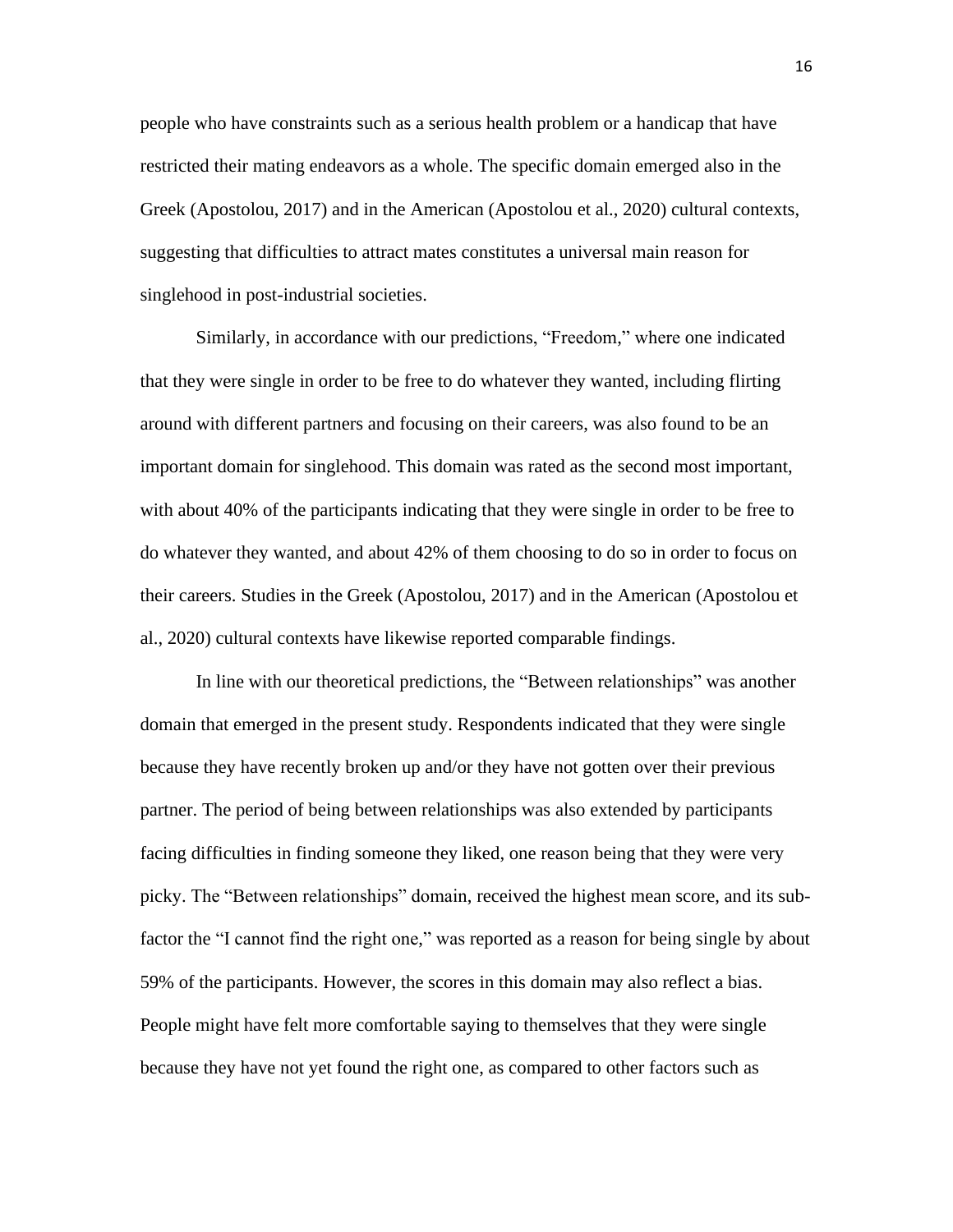people who have constraints such as a serious health problem or a handicap that have restricted their mating endeavors as a whole. The specific domain emerged also in the Greek (Apostolou, 2017) and in the American (Apostolou et al., 2020) cultural contexts, suggesting that difficulties to attract mates constitutes a universal main reason for singlehood in post-industrial societies.

Similarly, in accordance with our predictions, "Freedom," where one indicated that they were single in order to be free to do whatever they wanted, including flirting around with different partners and focusing on their careers, was also found to be an important domain for singlehood. This domain was rated as the second most important, with about 40% of the participants indicating that they were single in order to be free to do whatever they wanted, and about 42% of them choosing to do so in order to focus on their careers. Studies in the Greek (Apostolou, 2017) and in the American (Apostolou et al., 2020) cultural contexts have likewise reported comparable findings.

In line with our theoretical predictions, the "Between relationships" was another domain that emerged in the present study. Respondents indicated that they were single because they have recently broken up and/or they have not gotten over their previous partner. The period of being between relationships was also extended by participants facing difficulties in finding someone they liked, one reason being that they were very picky. The "Between relationships" domain, received the highest mean score, and its subfactor the "I cannot find the right one," was reported as a reason for being single by about 59% of the participants. However, the scores in this domain may also reflect a bias. People might have felt more comfortable saying to themselves that they were single because they have not yet found the right one, as compared to other factors such as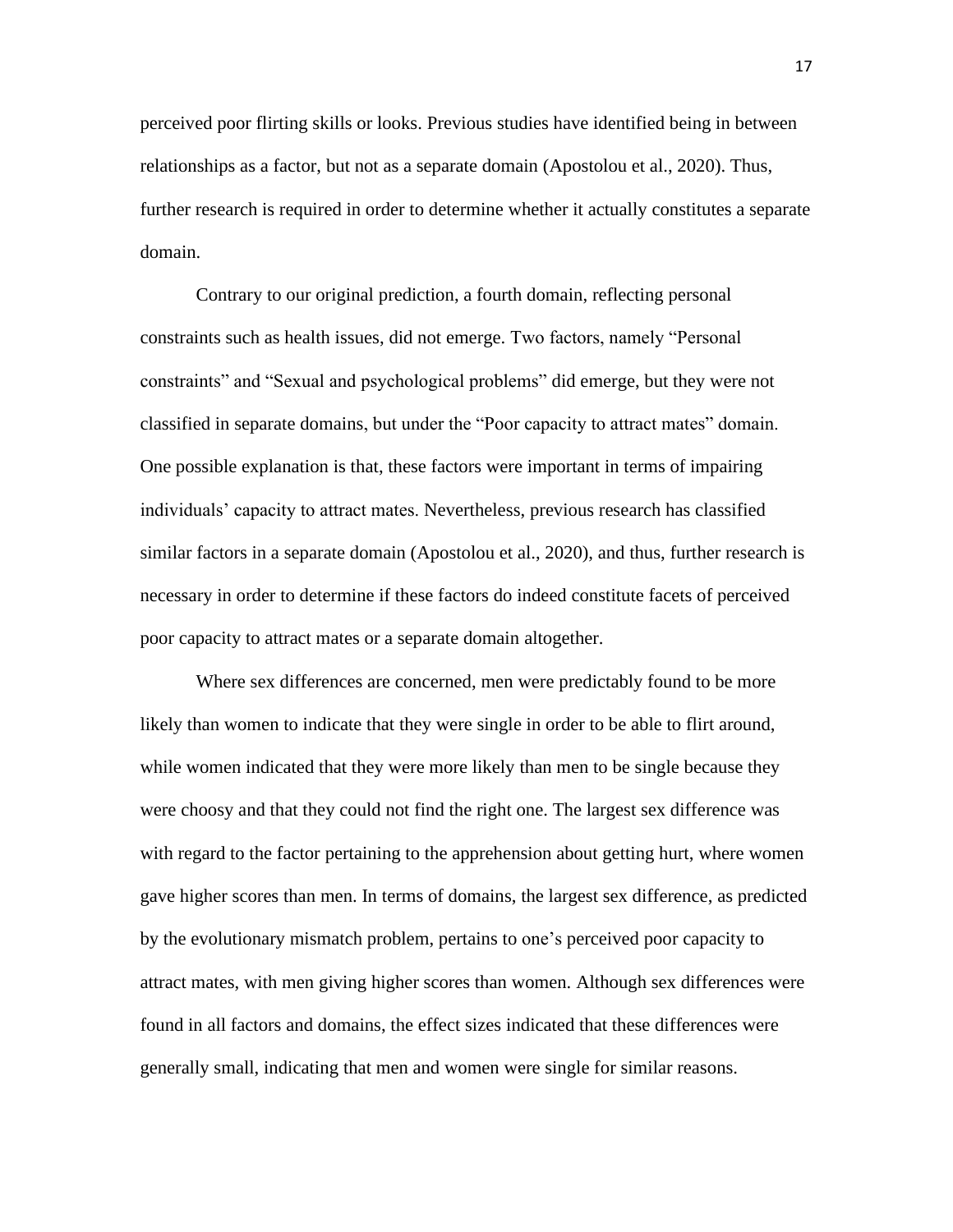perceived poor flirting skills or looks. Previous studies have identified being in between relationships as a factor, but not as a separate domain (Apostolou et al., 2020). Thus, further research is required in order to determine whether it actually constitutes a separate domain.

Contrary to our original prediction, a fourth domain, reflecting personal constraints such as health issues, did not emerge. Two factors, namely "Personal constraints" and "Sexual and psychological problems" did emerge, but they were not classified in separate domains, but under the "Poor capacity to attract mates" domain. One possible explanation is that, these factors were important in terms of impairing individuals' capacity to attract mates. Nevertheless, previous research has classified similar factors in a separate domain (Apostolou et al., 2020), and thus, further research is necessary in order to determine if these factors do indeed constitute facets of perceived poor capacity to attract mates or a separate domain altogether.

Where sex differences are concerned, men were predictably found to be more likely than women to indicate that they were single in order to be able to flirt around, while women indicated that they were more likely than men to be single because they were choosy and that they could not find the right one. The largest sex difference was with regard to the factor pertaining to the apprehension about getting hurt, where women gave higher scores than men. In terms of domains, the largest sex difference, as predicted by the evolutionary mismatch problem, pertains to one's perceived poor capacity to attract mates, with men giving higher scores than women. Although sex differences were found in all factors and domains, the effect sizes indicated that these differences were generally small, indicating that men and women were single for similar reasons.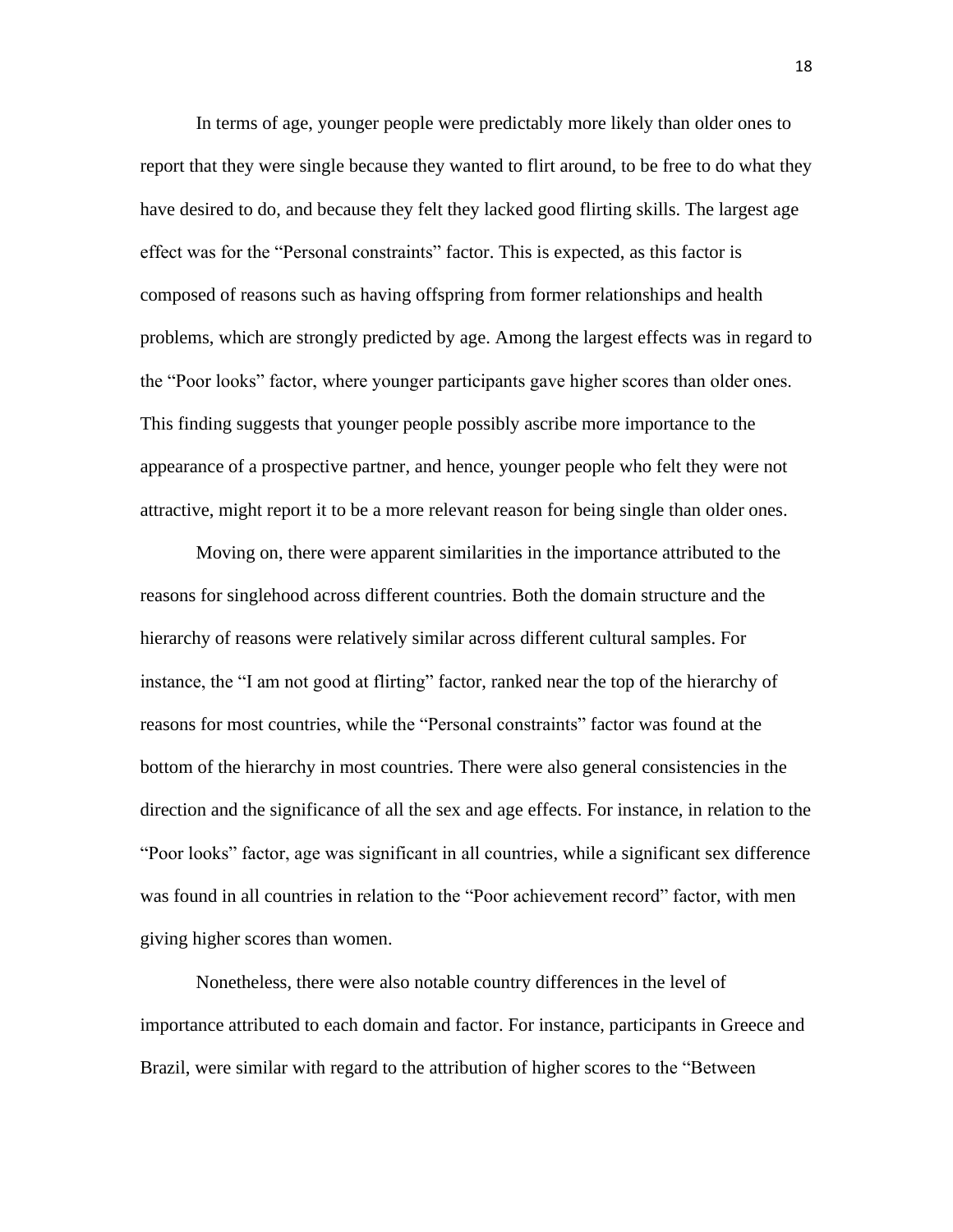In terms of age, younger people were predictably more likely than older ones to report that they were single because they wanted to flirt around, to be free to do what they have desired to do, and because they felt they lacked good flirting skills. The largest age effect was for the "Personal constraints" factor. This is expected, as this factor is composed of reasons such as having offspring from former relationships and health problems, which are strongly predicted by age. Among the largest effects was in regard to the "Poor looks" factor, where younger participants gave higher scores than older ones. This finding suggests that younger people possibly ascribe more importance to the appearance of a prospective partner, and hence, younger people who felt they were not attractive, might report it to be a more relevant reason for being single than older ones.

Moving on, there were apparent similarities in the importance attributed to the reasons for singlehood across different countries. Both the domain structure and the hierarchy of reasons were relatively similar across different cultural samples. For instance, the "I am not good at flirting" factor, ranked near the top of the hierarchy of reasons for most countries, while the "Personal constraints" factor was found at the bottom of the hierarchy in most countries. There were also general consistencies in the direction and the significance of all the sex and age effects. For instance, in relation to the "Poor looks" factor, age was significant in all countries, while a significant sex difference was found in all countries in relation to the "Poor achievement record" factor, with men giving higher scores than women.

Nonetheless, there were also notable country differences in the level of importance attributed to each domain and factor. For instance, participants in Greece and Brazil, were similar with regard to the attribution of higher scores to the "Between

18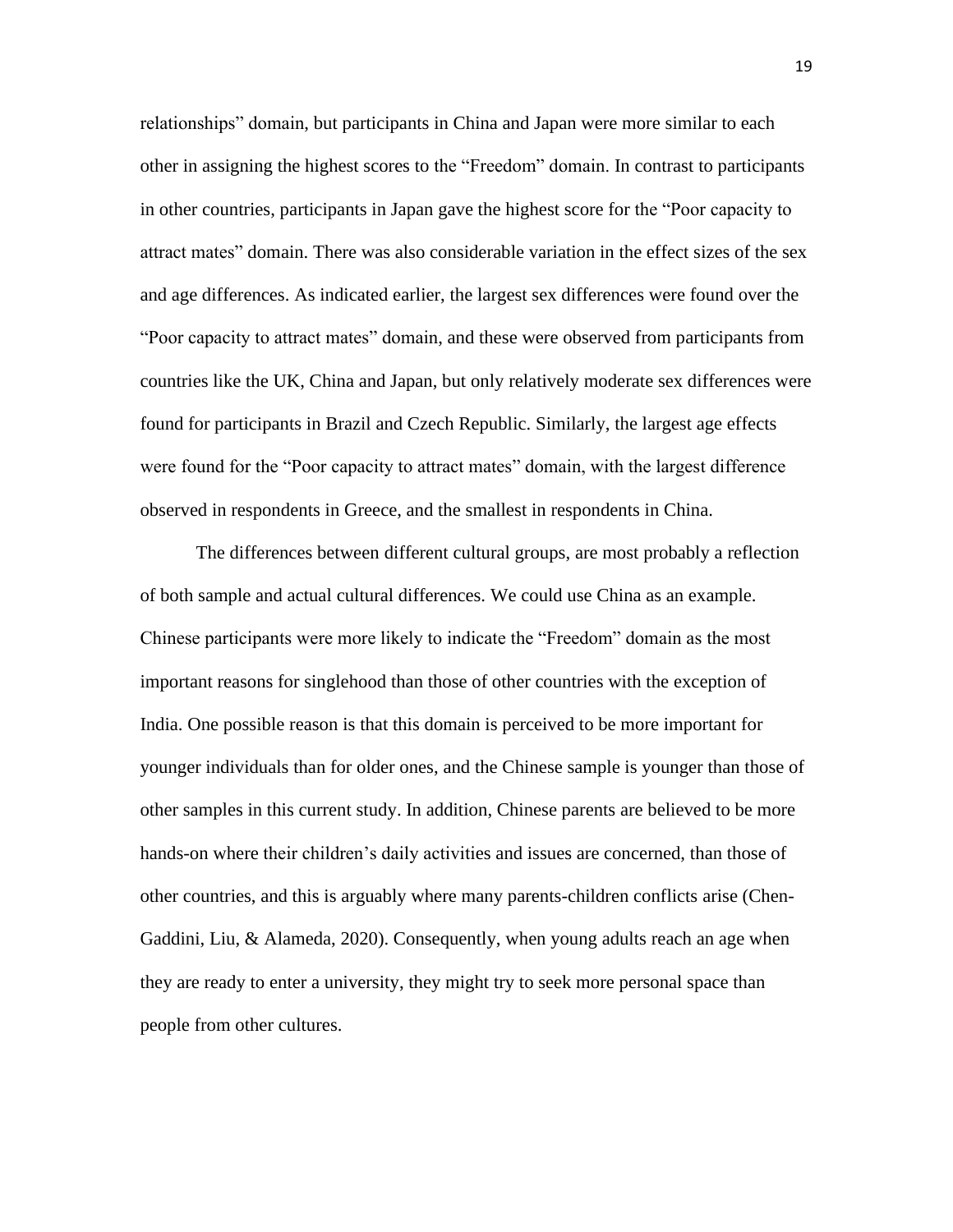relationships" domain, but participants in China and Japan were more similar to each other in assigning the highest scores to the "Freedom" domain. In contrast to participants in other countries, participants in Japan gave the highest score for the "Poor capacity to attract mates" domain. There was also considerable variation in the effect sizes of the sex and age differences. As indicated earlier, the largest sex differences were found over the "Poor capacity to attract mates" domain, and these were observed from participants from countries like the UK, China and Japan, but only relatively moderate sex differences were found for participants in Brazil and Czech Republic. Similarly, the largest age effects were found for the "Poor capacity to attract mates" domain, with the largest difference observed in respondents in Greece, and the smallest in respondents in China.

The differences between different cultural groups, are most probably a reflection of both sample and actual cultural differences. We could use China as an example. Chinese participants were more likely to indicate the "Freedom" domain as the most important reasons for singlehood than those of other countries with the exception of India. One possible reason is that this domain is perceived to be more important for younger individuals than for older ones, and the Chinese sample is younger than those of other samples in this current study. In addition, Chinese parents are believed to be more hands-on where their children's daily activities and issues are concerned, than those of other countries, and this is arguably where many parents-children conflicts arise (Chen-Gaddini, Liu, & Alameda, 2020). Consequently, when young adults reach an age when they are ready to enter a university, they might try to seek more personal space than people from other cultures.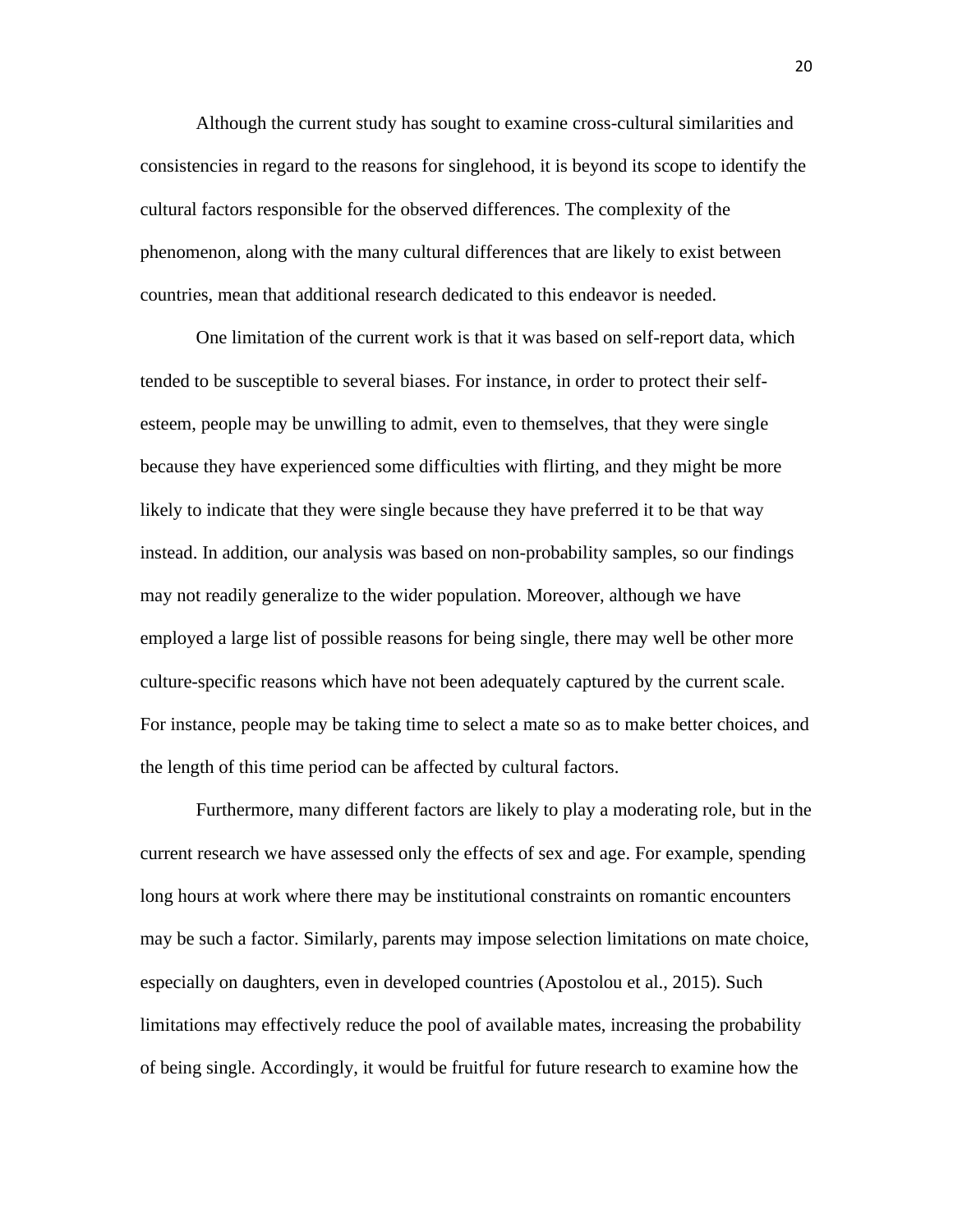Although the current study has sought to examine cross-cultural similarities and consistencies in regard to the reasons for singlehood, it is beyond its scope to identify the cultural factors responsible for the observed differences. The complexity of the phenomenon, along with the many cultural differences that are likely to exist between countries, mean that additional research dedicated to this endeavor is needed.

One limitation of the current work is that it was based on self-report data, which tended to be susceptible to several biases. For instance, in order to protect their selfesteem, people may be unwilling to admit, even to themselves, that they were single because they have experienced some difficulties with flirting, and they might be more likely to indicate that they were single because they have preferred it to be that way instead. In addition, our analysis was based on non-probability samples, so our findings may not readily generalize to the wider population. Moreover, although we have employed a large list of possible reasons for being single, there may well be other more culture-specific reasons which have not been adequately captured by the current scale. For instance, people may be taking time to select a mate so as to make better choices, and the length of this time period can be affected by cultural factors.

Furthermore, many different factors are likely to play a moderating role, but in the current research we have assessed only the effects of sex and age. For example, spending long hours at work where there may be institutional constraints on romantic encounters may be such a factor. Similarly, parents may impose selection limitations on mate choice, especially on daughters, even in developed countries (Apostolou et al., 2015). Such limitations may effectively reduce the pool of available mates, increasing the probability of being single. Accordingly, it would be fruitful for future research to examine how the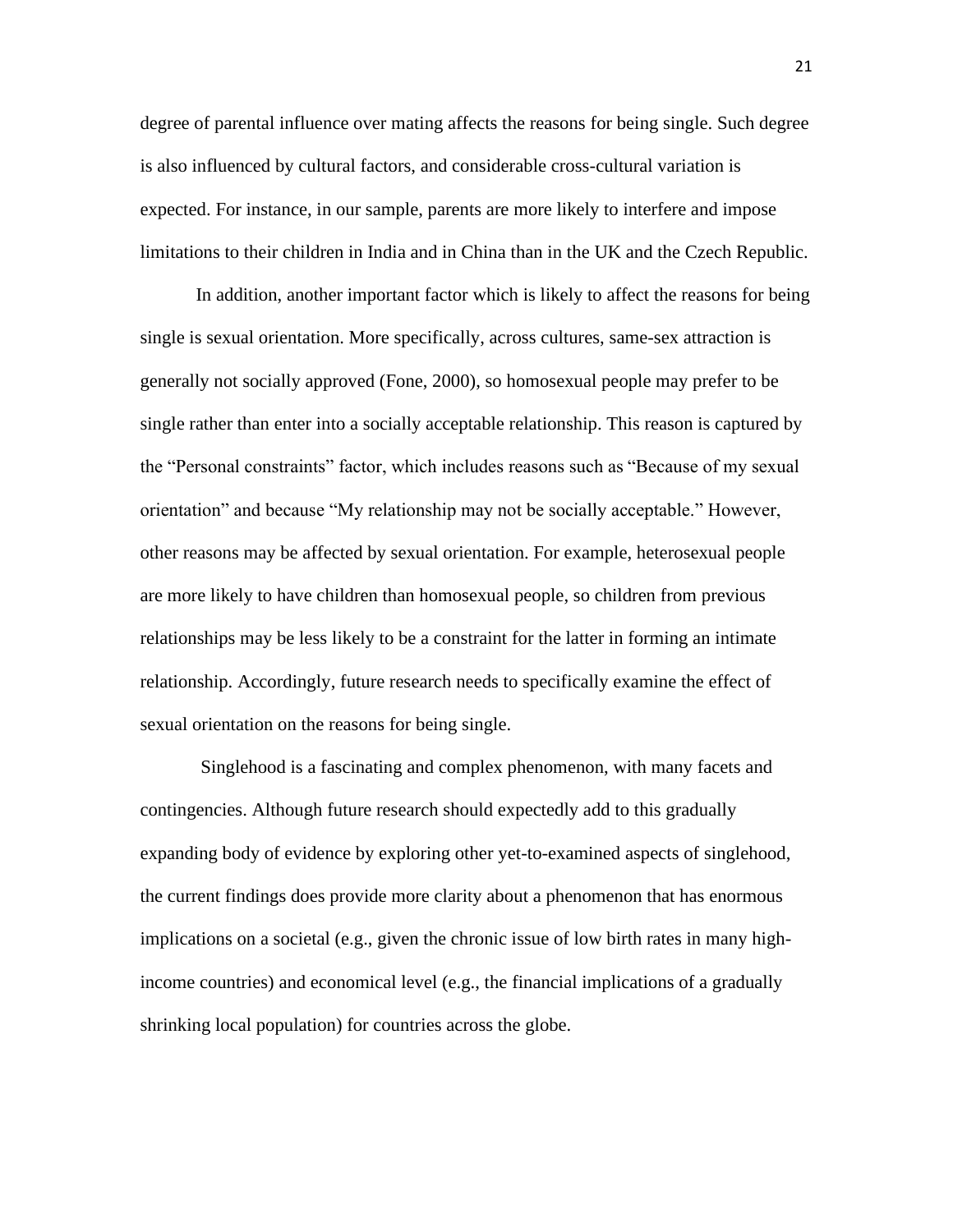degree of parental influence over mating affects the reasons for being single. Such degree is also influenced by cultural factors, and considerable cross-cultural variation is expected. For instance, in our sample, parents are more likely to interfere and impose limitations to their children in India and in China than in the UK and the Czech Republic.

In addition, another important factor which is likely to affect the reasons for being single is sexual orientation. More specifically, across cultures, same-sex attraction is generally not socially approved (Fone, 2000), so homosexual people may prefer to be single rather than enter into a socially acceptable relationship. This reason is captured by the "Personal constraints" factor, which includes reasons such as "Because of my sexual orientation" and because "My relationship may not be socially acceptable." However, other reasons may be affected by sexual orientation. For example, heterosexual people are more likely to have children than homosexual people, so children from previous relationships may be less likely to be a constraint for the latter in forming an intimate relationship. Accordingly, future research needs to specifically examine the effect of sexual orientation on the reasons for being single.

Singlehood is a fascinating and complex phenomenon, with many facets and contingencies. Although future research should expectedly add to this gradually expanding body of evidence by exploring other yet-to-examined aspects of singlehood, the current findings does provide more clarity about a phenomenon that has enormous implications on a societal (e.g., given the chronic issue of low birth rates in many highincome countries) and economical level (e.g., the financial implications of a gradually shrinking local population) for countries across the globe.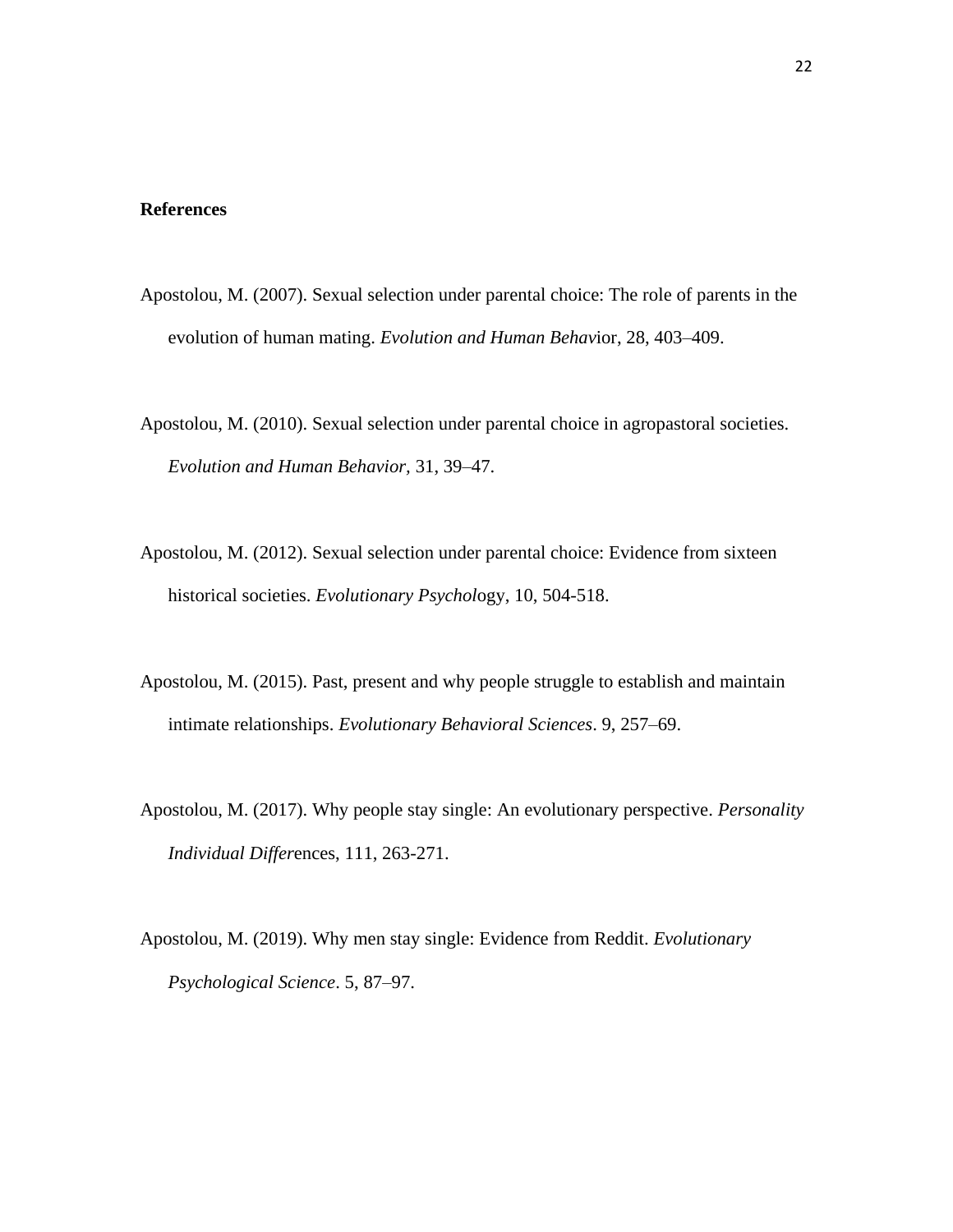#### **References**

- Apostolou, M. (2007). Sexual selection under parental choice: The role of parents in the evolution of human mating. *Evolution and Human Behav*ior, 28, 403–409.
- Apostolou, M. (2010). Sexual selection under parental choice in agropastoral societies. *Evolution and Human Behavior,* 31, 39–47.
- Apostolou, M. (2012). Sexual selection under parental choice: Evidence from sixteen historical societies. *Evolutionary Psychol*ogy, 10, 504-518.
- Apostolou, M. (2015). Past, present and why people struggle to establish and maintain intimate relationships. *Evolutionary Behavioral Sciences*. 9, 257–69.
- Apostolou, M. (2017). Why people stay single: An evolutionary perspective. *Personality Individual Differ*ences, 111, 263-271.
- Apostolou, M. (2019). Why men stay single: Evidence from Reddit. *Evolutionary Psychological Science*. 5, 87–97.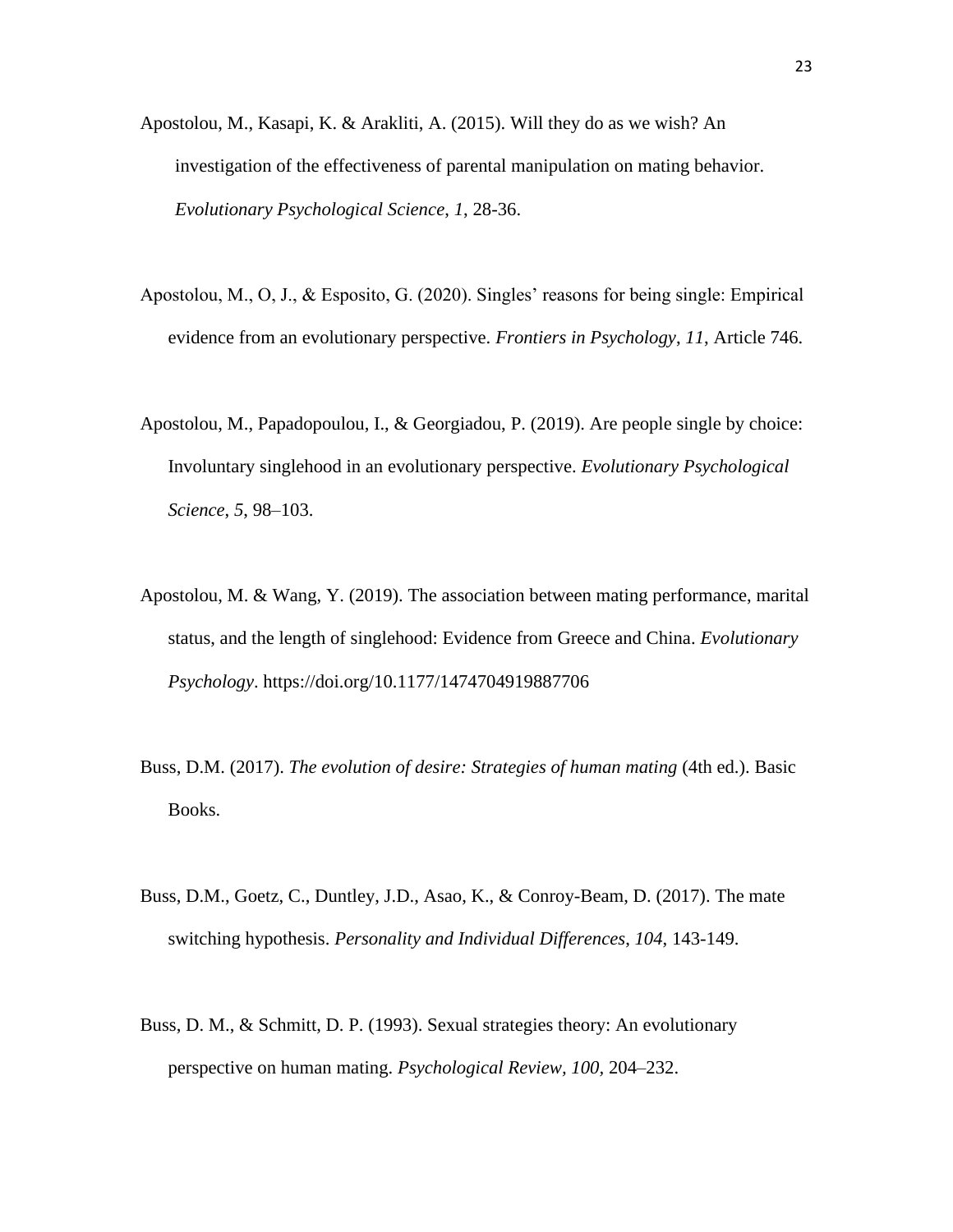- Apostolou, M., Kasapi, K. & Arakliti, A. (2015). Will they do as we wish? An investigation of the effectiveness of parental manipulation on mating behavior. *Evolutionary Psychological Science*, *1*, 28-36.
- Apostolou, M., O, J., & Esposito, G. (2020). Singles' reasons for being single: Empirical evidence from an evolutionary perspective. *Frontiers in Psychology*, *11*, Article 746.
- Apostolou, M., Papadopoulou, I., & Georgiadou, P. (2019). Are people single by choice: Involuntary singlehood in an evolutionary perspective. *Evolutionary Psychological Science*, *5*, 98–103.
- Apostolou, M. & Wang, Y. (2019). The association between mating performance, marital status, and the length of singlehood: Evidence from Greece and China. *Evolutionary Psychology*. https://doi.org/10.1177/1474704919887706
- Buss, D.M. (2017). *The evolution of desire: Strategies of human mating* (4th ed.). Basic Books.
- Buss, D.M., Goetz, C., Duntley, J.D., Asao, K., & Conroy-Beam, D. (2017). The mate switching hypothesis. *Personality and Individual Differences*, *104*, 143-149.
- Buss, D. M., & Schmitt, D. P. (1993). Sexual strategies theory: An evolutionary perspective on human mating. *Psychological Review, 100,* 204–232.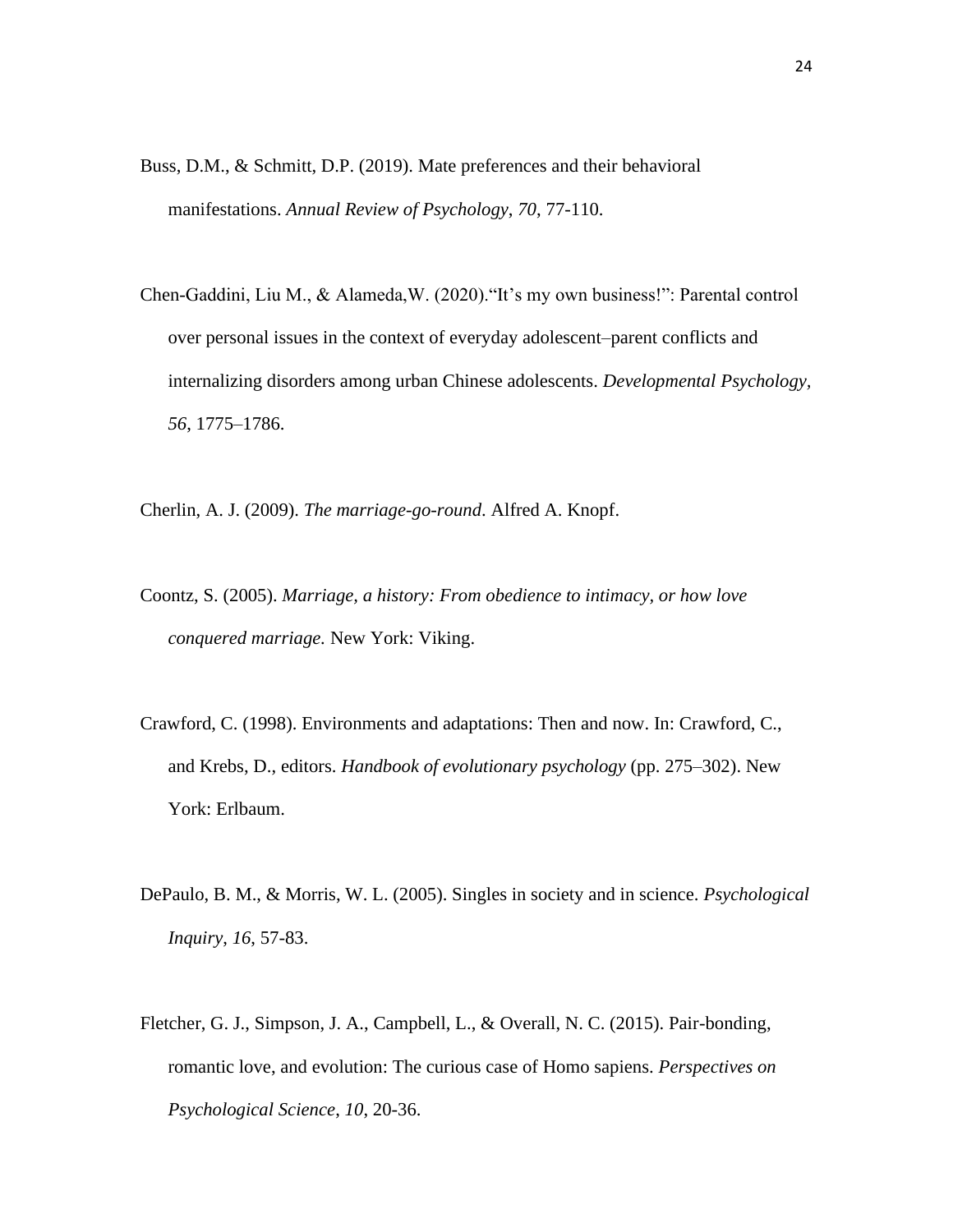- Buss, D.M., & Schmitt, D.P. (2019). Mate preferences and their behavioral manifestations. *Annual Review of Psychology*, *70*, 77-110.
- Chen-Gaddini, Liu M., & Alameda,W. (2020)."It's my own business!": Parental control over personal issues in the context of everyday adolescent–parent conflicts and internalizing disorders among urban Chinese adolescents. *Developmental Psychology, 56*, 1775–1786.

Cherlin, A. J. (2009). *The marriage-go-round*. Alfred A. Knopf.

- Coontz, S. (2005). *Marriage, a history: From obedience to intimacy, or how love conquered marriage.* New York: Viking.
- Crawford, C. (1998). Environments and adaptations: Then and now. In: Crawford, C., and Krebs, D., editors. *Handbook of evolutionary psychology* (pp. 275–302). New York: Erlbaum.
- DePaulo, B. M., & Morris, W. L. (2005). Singles in society and in science. *Psychological Inquiry*, *16*, 57-83.
- Fletcher, G. J., Simpson, J. A., Campbell, L., & Overall, N. C. (2015). Pair-bonding, romantic love, and evolution: The curious case of Homo sapiens. *Perspectives on Psychological Science*, *10*, 20-36.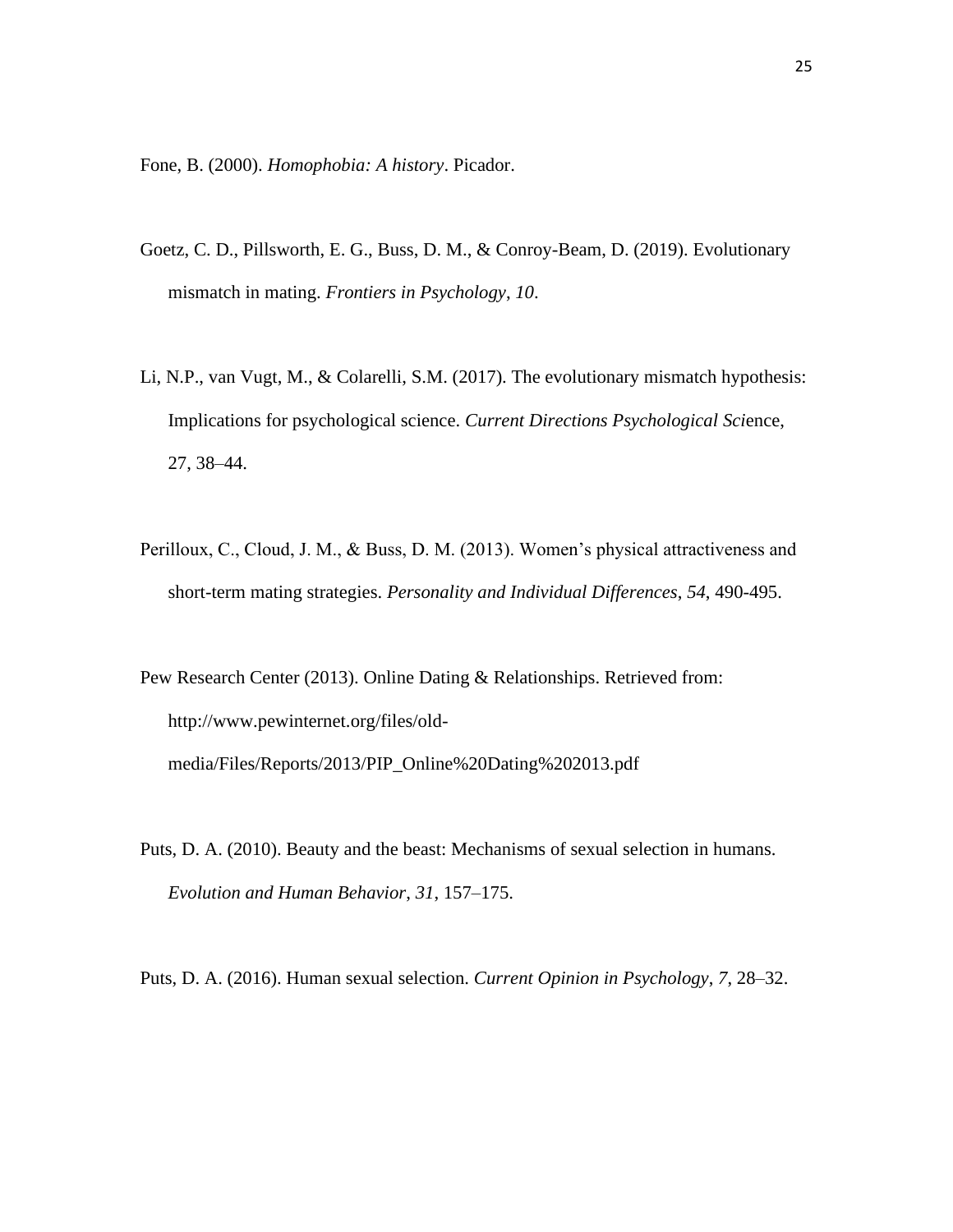Fone, B. (2000). *Homophobia: A history*. Picador.

- Goetz, C. D., Pillsworth, E. G., Buss, D. M., & Conroy-Beam, D. (2019). Evolutionary mismatch in mating. *Frontiers in Psychology*, *10*.
- Li, N.P., van Vugt, M., & Colarelli, S.M. (2017). The evolutionary mismatch hypothesis: Implications for psychological science. *Current Directions Psychological Sci*ence, 27, 38–44.
- Perilloux, C., Cloud, J. M., & Buss, D. M. (2013). Women's physical attractiveness and short-term mating strategies. *Personality and Individual Differences*, *54*, 490-495.

Pew Research Center (2013). Online Dating & Relationships. Retrieved from: http://www.pewinternet.org/files/oldmedia/Files/Reports/2013/PIP\_Online%20Dating%202013.pdf

Puts, D. A. (2010). Beauty and the beast: Mechanisms of sexual selection in humans. *Evolution and Human Behavior*, *31*, 157–175.

Puts, D. A. (2016). Human sexual selection. *Current Opinion in Psychology*, *7*, 28–32.